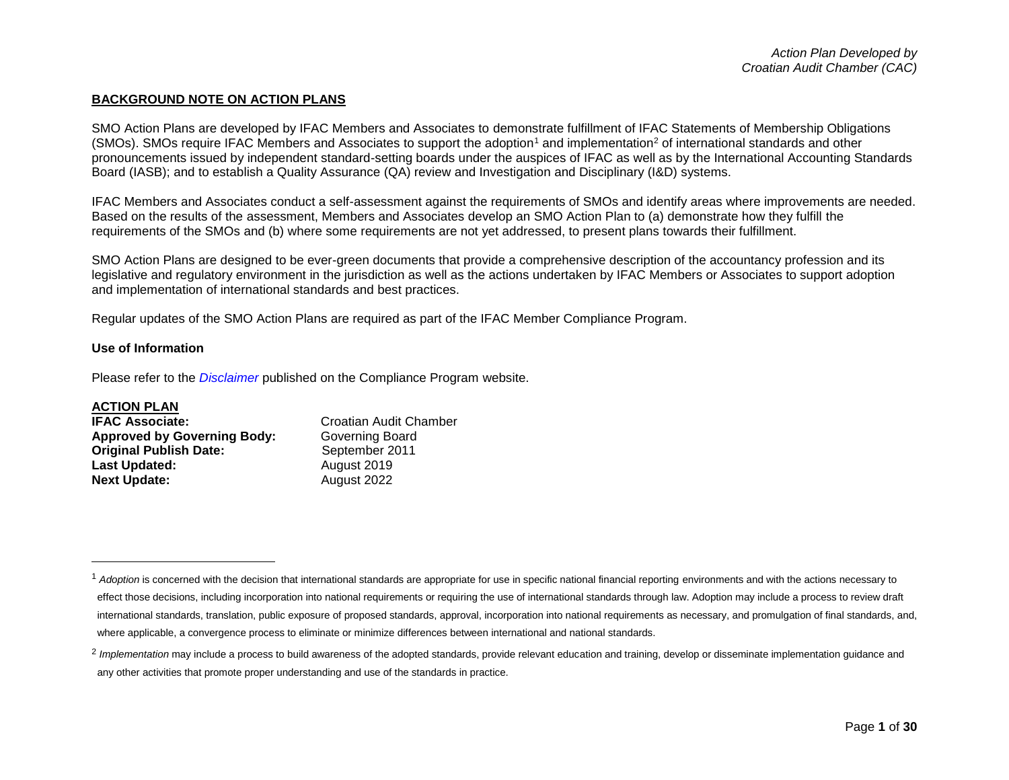### **BACKGROUND NOTE ON ACTION PLANS**

SMO Action Plans are developed by IFAC Members and Associates to demonstrate fulfillment of IFAC Statements of Membership Obligations (SMOs). SMOs require IFAC Members and Associates to support the adoption<sup>1</sup> and implementation<sup>2</sup> of international standards and other pronouncements issued by independent standard-setting boards under the auspices of IFAC as well as by the International Accounting Standards Board (IASB); and to establish a Quality Assurance (QA) review and Investigation and Disciplinary (I&D) systems.

IFAC Members and Associates conduct a self-assessment against the requirements of SMOs and identify areas where improvements are needed. Based on the results of the assessment, Members and Associates develop an SMO Action Plan to (a) demonstrate how they fulfill the requirements of the SMOs and (b) where some requirements are not yet addressed, to present plans towards their fulfillment.

SMO Action Plans are designed to be ever-green documents that provide a comprehensive description of the accountancy profession and its legislative and regulatory environment in the jurisdiction as well as the actions undertaken by IFAC Members or Associates to support adoption and implementation of international standards and best practices.

Regular updates of the SMO Action Plans are required as part of the IFAC Member Compliance Program.

### **Use of Information**

Please refer to the *[Disclaimer](http://www.ifac.org/about-ifac/membership/members/disclaimer)* published on the Compliance Program website.

### **ACTION PLAN**

 $\overline{a}$ 

| <b>IFAC Associate:</b>             | Croatian Audit Chamber |
|------------------------------------|------------------------|
| <b>Approved by Governing Body:</b> | Governing Board        |
| <b>Original Publish Date:</b>      | September 2011         |
| <b>Last Updated:</b>               | August 2019            |
| <b>Next Update:</b>                | August 2022            |

<sup>&</sup>lt;sup>1</sup> Adoption is concerned with the decision that international standards are appropriate for use in specific national financial reporting environments and with the actions necessary to effect those decisions, including incorporation into national requirements or requiring the use of international standards through law. Adoption may include a process to review draft international standards, translation, public exposure of proposed standards, approval, incorporation into national requirements as necessary, and promulgation of final standards, and, where applicable, a convergence process to eliminate or minimize differences between international and national standards.

<sup>&</sup>lt;sup>2</sup> Implementation may include a process to build awareness of the adopted standards, provide relevant education and training, develop or disseminate implementation guidance and any other activities that promote proper understanding and use of the standards in practice.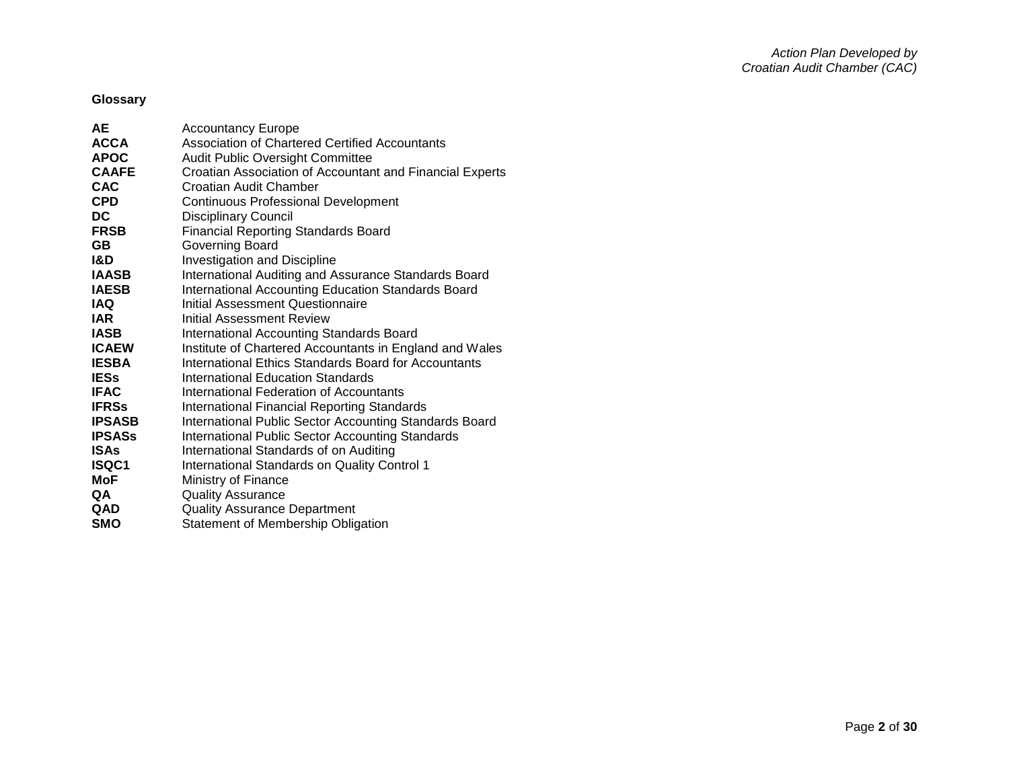# **Glossary**

| <b>AE</b>      | <b>Accountancy Europe</b>                                |
|----------------|----------------------------------------------------------|
| <b>ACCA</b>    | <b>Association of Chartered Certified Accountants</b>    |
| <b>APOC</b>    | Audit Public Oversight Committee                         |
| <b>CAAFE</b>   | Croatian Association of Accountant and Financial Experts |
| <b>CAC</b>     | Croatian Audit Chamber                                   |
| <b>CPD</b>     | <b>Continuous Professional Development</b>               |
| DC.            | <b>Disciplinary Council</b>                              |
| <b>FRSB</b>    | <b>Financial Reporting Standards Board</b>               |
| <b>GB</b>      | Governing Board                                          |
| <b>I&amp;D</b> | Investigation and Discipline                             |
| <b>IAASB</b>   | International Auditing and Assurance Standards Board     |
| <b>IAESB</b>   | International Accounting Education Standards Board       |
| <b>IAQ</b>     | Initial Assessment Questionnaire                         |
| <b>IAR</b>     | <b>Initial Assessment Review</b>                         |
| <b>IASB</b>    | <b>International Accounting Standards Board</b>          |
| <b>ICAEW</b>   | Institute of Chartered Accountants in England and Wales  |
| <b>IESBA</b>   | International Ethics Standards Board for Accountants     |
| <b>IESs</b>    | International Education Standards                        |
| <b>IFAC</b>    | International Federation of Accountants                  |
| <b>IFRSs</b>   | International Financial Reporting Standards              |
| <b>IPSASB</b>  | International Public Sector Accounting Standards Board   |
| <b>IPSASs</b>  | International Public Sector Accounting Standards         |
| <b>ISAs</b>    | International Standards of on Auditing                   |
| <b>ISQC1</b>   | International Standards on Quality Control 1             |
| MoF            | Ministry of Finance                                      |
| QA             | <b>Quality Assurance</b>                                 |
| QAD            | <b>Quality Assurance Department</b>                      |
| <b>SMO</b>     | Statement of Membership Obligation                       |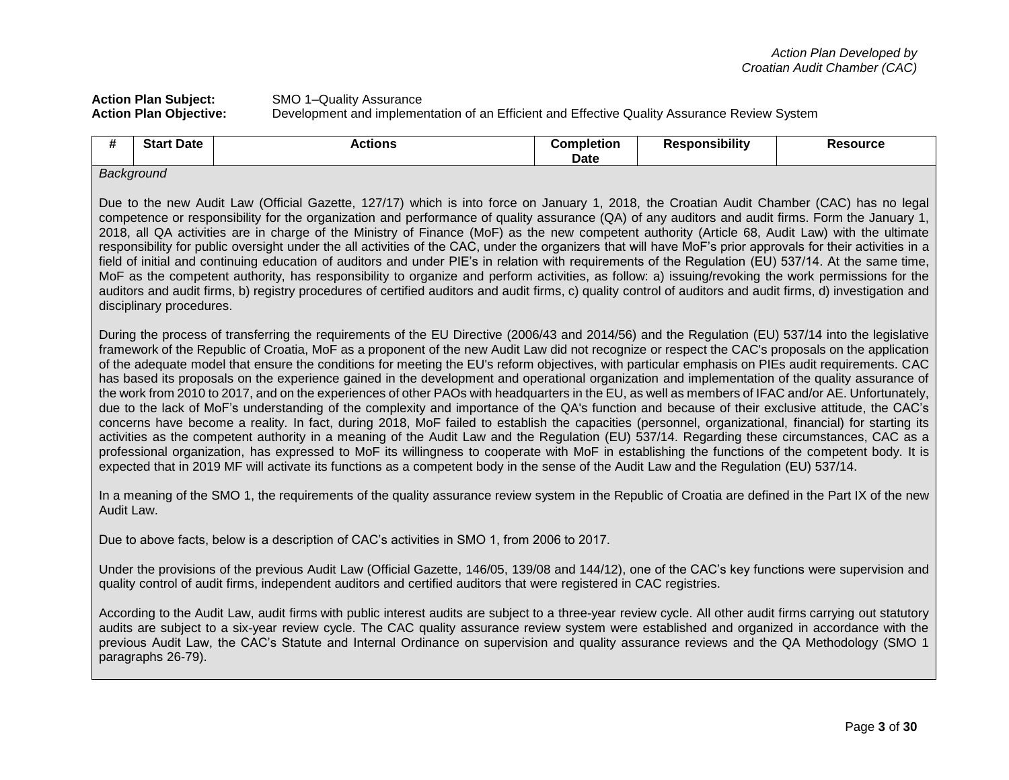# Action Plan Subject: SMO 1–Quality Assurance<br>Action Plan Objective: Development and implement **Development and implementation of an Efficient and Effective Quality Assurance Review System**

| #                                                                                                                                                                                                                                                                                                                                                                                                                                                                                                                                                                                                                                                                                                                                                                                                                                                                                                                                                                                                                                                                                                                          | <b>Start Date</b>                                                                                                                                                                                                                                                                                                                                                                                                                                                                                                                                                                                                                                                                                                                                                                                                                                                                                                                                                                                                                                                                                                                                                                                                                                                                                                                                                                                                                                                                                                            | <b>Actions</b>                                                                                                                                                                                                                                                                                                                                                                                                                                        | <b>Completion</b><br><b>Date</b> | <b>Responsibility</b> | <b>Resource</b> |
|----------------------------------------------------------------------------------------------------------------------------------------------------------------------------------------------------------------------------------------------------------------------------------------------------------------------------------------------------------------------------------------------------------------------------------------------------------------------------------------------------------------------------------------------------------------------------------------------------------------------------------------------------------------------------------------------------------------------------------------------------------------------------------------------------------------------------------------------------------------------------------------------------------------------------------------------------------------------------------------------------------------------------------------------------------------------------------------------------------------------------|------------------------------------------------------------------------------------------------------------------------------------------------------------------------------------------------------------------------------------------------------------------------------------------------------------------------------------------------------------------------------------------------------------------------------------------------------------------------------------------------------------------------------------------------------------------------------------------------------------------------------------------------------------------------------------------------------------------------------------------------------------------------------------------------------------------------------------------------------------------------------------------------------------------------------------------------------------------------------------------------------------------------------------------------------------------------------------------------------------------------------------------------------------------------------------------------------------------------------------------------------------------------------------------------------------------------------------------------------------------------------------------------------------------------------------------------------------------------------------------------------------------------------|-------------------------------------------------------------------------------------------------------------------------------------------------------------------------------------------------------------------------------------------------------------------------------------------------------------------------------------------------------------------------------------------------------------------------------------------------------|----------------------------------|-----------------------|-----------------|
|                                                                                                                                                                                                                                                                                                                                                                                                                                                                                                                                                                                                                                                                                                                                                                                                                                                                                                                                                                                                                                                                                                                            | Background                                                                                                                                                                                                                                                                                                                                                                                                                                                                                                                                                                                                                                                                                                                                                                                                                                                                                                                                                                                                                                                                                                                                                                                                                                                                                                                                                                                                                                                                                                                   |                                                                                                                                                                                                                                                                                                                                                                                                                                                       |                                  |                       |                 |
| Due to the new Audit Law (Official Gazette, 127/17) which is into force on January 1, 2018, the Croatian Audit Chamber (CAC) has no legal<br>competence or responsibility for the organization and performance of quality assurance (QA) of any auditors and audit firms. Form the January 1,<br>2018, all QA activities are in charge of the Ministry of Finance (MoF) as the new competent authority (Article 68, Audit Law) with the ultimate<br>responsibility for public oversight under the all activities of the CAC, under the organizers that will have MoF's prior approvals for their activities in a<br>field of initial and continuing education of auditors and under PIE's in relation with requirements of the Regulation (EU) 537/14. At the same time,<br>MoF as the competent authority, has responsibility to organize and perform activities, as follow: a) issuing/revoking the work permissions for the<br>auditors and audit firms, b) registry procedures of certified auditors and audit firms, c) quality control of auditors and audit firms, d) investigation and<br>disciplinary procedures. |                                                                                                                                                                                                                                                                                                                                                                                                                                                                                                                                                                                                                                                                                                                                                                                                                                                                                                                                                                                                                                                                                                                                                                                                                                                                                                                                                                                                                                                                                                                              |                                                                                                                                                                                                                                                                                                                                                                                                                                                       |                                  |                       |                 |
|                                                                                                                                                                                                                                                                                                                                                                                                                                                                                                                                                                                                                                                                                                                                                                                                                                                                                                                                                                                                                                                                                                                            | During the process of transferring the requirements of the EU Directive (2006/43 and 2014/56) and the Regulation (EU) 537/14 into the legislative<br>framework of the Republic of Croatia, MoF as a proponent of the new Audit Law did not recognize or respect the CAC's proposals on the application<br>of the adequate model that ensure the conditions for meeting the EU's reform objectives, with particular emphasis on PIEs audit requirements. CAC<br>has based its proposals on the experience gained in the development and operational organization and implementation of the quality assurance of<br>the work from 2010 to 2017, and on the experiences of other PAOs with headquarters in the EU, as well as members of IFAC and/or AE. Unfortunately,<br>due to the lack of MoF's understanding of the complexity and importance of the QA's function and because of their exclusive attitude, the CAC's<br>concerns have become a reality. In fact, during 2018, MoF failed to establish the capacities (personnel, organizational, financial) for starting its<br>activities as the competent authority in a meaning of the Audit Law and the Regulation (EU) 537/14. Regarding these circumstances, CAC as a<br>professional organization, has expressed to MoF its willingness to cooperate with MoF in establishing the functions of the competent body. It is<br>expected that in 2019 MF will activate its functions as a competent body in the sense of the Audit Law and the Regulation (EU) 537/14. |                                                                                                                                                                                                                                                                                                                                                                                                                                                       |                                  |                       |                 |
| Audit Law.                                                                                                                                                                                                                                                                                                                                                                                                                                                                                                                                                                                                                                                                                                                                                                                                                                                                                                                                                                                                                                                                                                                 |                                                                                                                                                                                                                                                                                                                                                                                                                                                                                                                                                                                                                                                                                                                                                                                                                                                                                                                                                                                                                                                                                                                                                                                                                                                                                                                                                                                                                                                                                                                              | In a meaning of the SMO 1, the requirements of the quality assurance review system in the Republic of Croatia are defined in the Part IX of the new                                                                                                                                                                                                                                                                                                   |                                  |                       |                 |
|                                                                                                                                                                                                                                                                                                                                                                                                                                                                                                                                                                                                                                                                                                                                                                                                                                                                                                                                                                                                                                                                                                                            |                                                                                                                                                                                                                                                                                                                                                                                                                                                                                                                                                                                                                                                                                                                                                                                                                                                                                                                                                                                                                                                                                                                                                                                                                                                                                                                                                                                                                                                                                                                              | Due to above facts, below is a description of CAC's activities in SMO 1, from 2006 to 2017.                                                                                                                                                                                                                                                                                                                                                           |                                  |                       |                 |
|                                                                                                                                                                                                                                                                                                                                                                                                                                                                                                                                                                                                                                                                                                                                                                                                                                                                                                                                                                                                                                                                                                                            |                                                                                                                                                                                                                                                                                                                                                                                                                                                                                                                                                                                                                                                                                                                                                                                                                                                                                                                                                                                                                                                                                                                                                                                                                                                                                                                                                                                                                                                                                                                              | Under the provisions of the previous Audit Law (Official Gazette, 146/05, 139/08 and 144/12), one of the CAC's key functions were supervision and<br>quality control of audit firms, independent auditors and certified auditors that were registered in CAC registries.                                                                                                                                                                              |                                  |                       |                 |
|                                                                                                                                                                                                                                                                                                                                                                                                                                                                                                                                                                                                                                                                                                                                                                                                                                                                                                                                                                                                                                                                                                                            | paragraphs 26-79).                                                                                                                                                                                                                                                                                                                                                                                                                                                                                                                                                                                                                                                                                                                                                                                                                                                                                                                                                                                                                                                                                                                                                                                                                                                                                                                                                                                                                                                                                                           | According to the Audit Law, audit firms with public interest audits are subject to a three-year review cycle. All other audit firms carrying out statutory<br>audits are subject to a six-year review cycle. The CAC quality assurance review system were established and organized in accordance with the<br>previous Audit Law, the CAC's Statute and Internal Ordinance on supervision and quality assurance reviews and the QA Methodology (SMO 1 |                                  |                       |                 |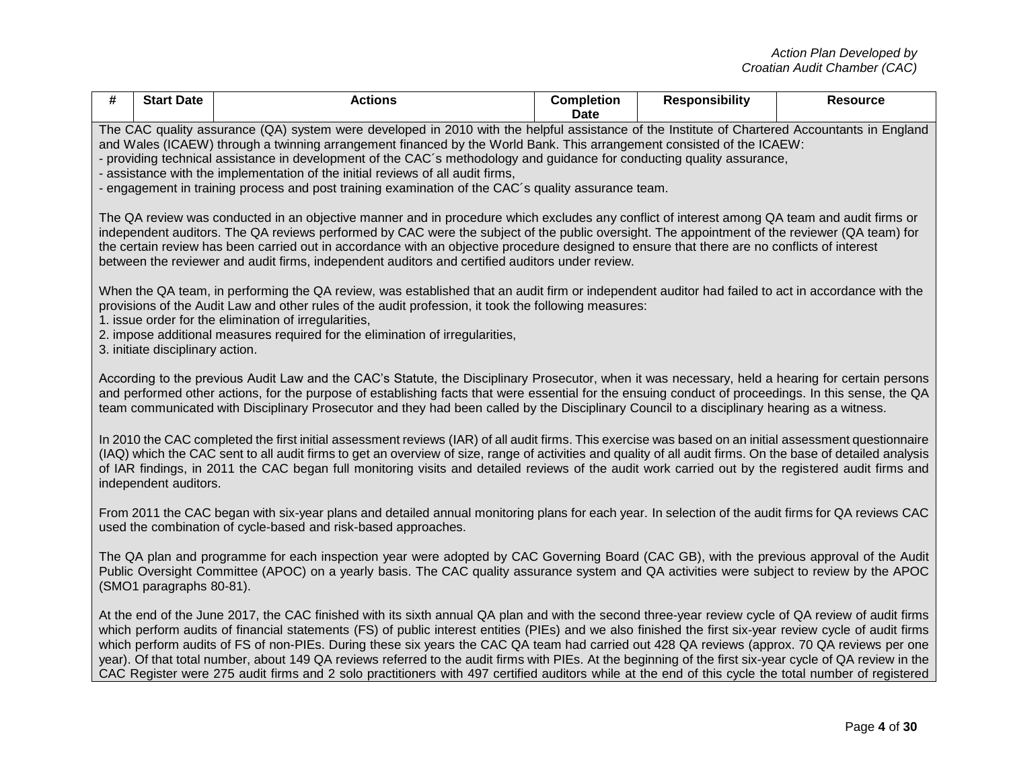| #                                                                                                                                                                                                                                                                                                                                                                                                                                                                                                                                                | <b>Start Date</b>                                                                                                                                                                                                                                                                                                                                                                                                                                                                                                                                                                                                                                                                                                                                                                    | <b>Actions</b>                                                                                                                                                                                                       | <b>Completion</b><br>Date | <b>Responsibility</b> | <b>Resource</b> |  |
|--------------------------------------------------------------------------------------------------------------------------------------------------------------------------------------------------------------------------------------------------------------------------------------------------------------------------------------------------------------------------------------------------------------------------------------------------------------------------------------------------------------------------------------------------|--------------------------------------------------------------------------------------------------------------------------------------------------------------------------------------------------------------------------------------------------------------------------------------------------------------------------------------------------------------------------------------------------------------------------------------------------------------------------------------------------------------------------------------------------------------------------------------------------------------------------------------------------------------------------------------------------------------------------------------------------------------------------------------|----------------------------------------------------------------------------------------------------------------------------------------------------------------------------------------------------------------------|---------------------------|-----------------------|-----------------|--|
|                                                                                                                                                                                                                                                                                                                                                                                                                                                                                                                                                  | The CAC quality assurance (QA) system were developed in 2010 with the helpful assistance of the Institute of Chartered Accountants in England<br>and Wales (ICAEW) through a twinning arrangement financed by the World Bank. This arrangement consisted of the ICAEW:<br>- providing technical assistance in development of the CAC's methodology and guidance for conducting quality assurance,<br>- assistance with the implementation of the initial reviews of all audit firms,<br>- engagement in training process and post training examination of the CAC's quality assurance team.                                                                                                                                                                                          |                                                                                                                                                                                                                      |                           |                       |                 |  |
| The QA review was conducted in an objective manner and in procedure which excludes any conflict of interest among QA team and audit firms or<br>independent auditors. The QA reviews performed by CAC were the subject of the public oversight. The appointment of the reviewer (QA team) for<br>the certain review has been carried out in accordance with an objective procedure designed to ensure that there are no conflicts of interest<br>between the reviewer and audit firms, independent auditors and certified auditors under review. |                                                                                                                                                                                                                                                                                                                                                                                                                                                                                                                                                                                                                                                                                                                                                                                      |                                                                                                                                                                                                                      |                           |                       |                 |  |
|                                                                                                                                                                                                                                                                                                                                                                                                                                                                                                                                                  | When the QA team, in performing the QA review, was established that an audit firm or independent auditor had failed to act in accordance with the<br>provisions of the Audit Law and other rules of the audit profession, it took the following measures:<br>1. issue order for the elimination of irregularities,<br>2. impose additional measures required for the elimination of irregularities,<br>3. initiate disciplinary action.                                                                                                                                                                                                                                                                                                                                              |                                                                                                                                                                                                                      |                           |                       |                 |  |
|                                                                                                                                                                                                                                                                                                                                                                                                                                                                                                                                                  | According to the previous Audit Law and the CAC's Statute, the Disciplinary Prosecutor, when it was necessary, held a hearing for certain persons<br>and performed other actions, for the purpose of establishing facts that were essential for the ensuing conduct of proceedings. In this sense, the QA<br>team communicated with Disciplinary Prosecutor and they had been called by the Disciplinary Council to a disciplinary hearing as a witness.                                                                                                                                                                                                                                                                                                                             |                                                                                                                                                                                                                      |                           |                       |                 |  |
|                                                                                                                                                                                                                                                                                                                                                                                                                                                                                                                                                  | In 2010 the CAC completed the first initial assessment reviews (IAR) of all audit firms. This exercise was based on an initial assessment questionnaire<br>(IAQ) which the CAC sent to all audit firms to get an overview of size, range of activities and quality of all audit firms. On the base of detailed analysis<br>of IAR findings, in 2011 the CAC began full monitoring visits and detailed reviews of the audit work carried out by the registered audit firms and<br>independent auditors.                                                                                                                                                                                                                                                                               |                                                                                                                                                                                                                      |                           |                       |                 |  |
|                                                                                                                                                                                                                                                                                                                                                                                                                                                                                                                                                  |                                                                                                                                                                                                                                                                                                                                                                                                                                                                                                                                                                                                                                                                                                                                                                                      | From 2011 the CAC began with six-year plans and detailed annual monitoring plans for each year. In selection of the audit firms for QA reviews CAC<br>used the combination of cycle-based and risk-based approaches. |                           |                       |                 |  |
|                                                                                                                                                                                                                                                                                                                                                                                                                                                                                                                                                  | The QA plan and programme for each inspection year were adopted by CAC Governing Board (CAC GB), with the previous approval of the Audit<br>Public Oversight Committee (APOC) on a yearly basis. The CAC quality assurance system and QA activities were subject to review by the APOC<br>(SMO1 paragraphs 80-81).                                                                                                                                                                                                                                                                                                                                                                                                                                                                   |                                                                                                                                                                                                                      |                           |                       |                 |  |
|                                                                                                                                                                                                                                                                                                                                                                                                                                                                                                                                                  | At the end of the June 2017, the CAC finished with its sixth annual QA plan and with the second three-year review cycle of QA review of audit firms<br>which perform audits of financial statements (FS) of public interest entities (PIEs) and we also finished the first six-year review cycle of audit firms<br>which perform audits of FS of non-PIEs. During these six years the CAC QA team had carried out 428 QA reviews (approx. 70 QA reviews per one<br>year). Of that total number, about 149 QA reviews referred to the audit firms with PIEs. At the beginning of the first six-year cycle of QA review in the<br>CAC Register were 275 audit firms and 2 solo practitioners with 497 certified auditors while at the end of this cycle the total number of registered |                                                                                                                                                                                                                      |                           |                       |                 |  |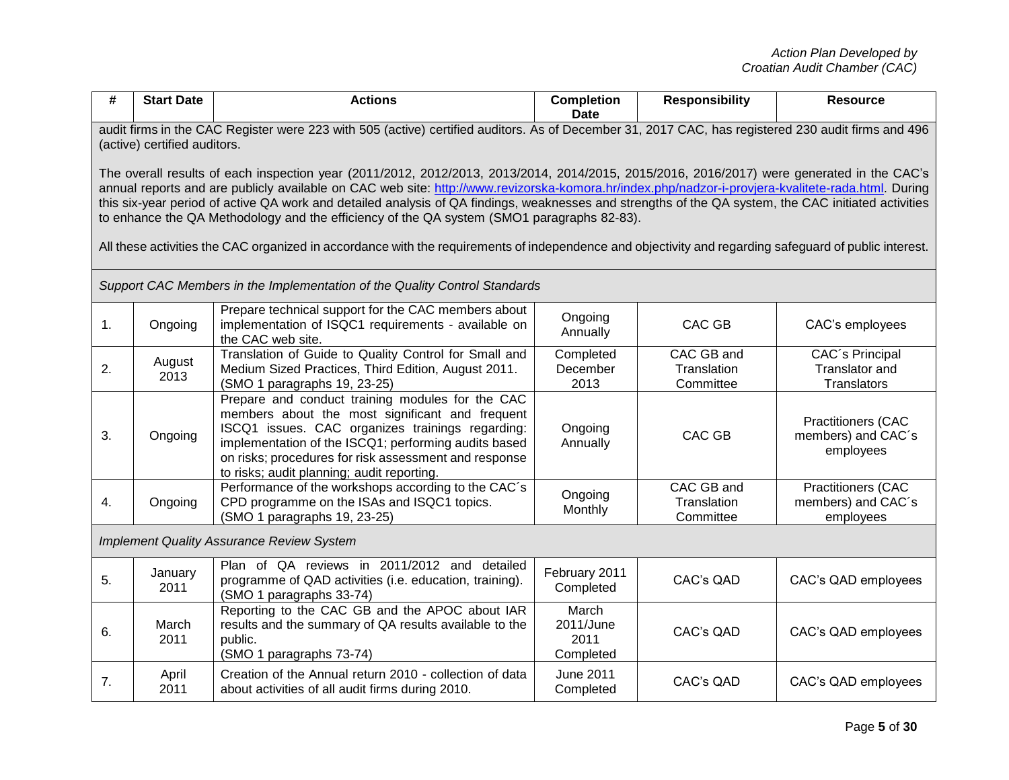| #                                                                                                                                                                                                                                                                                                                                                                                                                                                                                                                                                                                                                                                                                                                | <b>Start Date</b>                                                                                                                                                                  | <b>Actions</b>                                                                                                                                                                                                                                                                                                         | <b>Completion</b><br><b>Date</b>        | <b>Responsibility</b>                  | <b>Resource</b>                                              |  |
|------------------------------------------------------------------------------------------------------------------------------------------------------------------------------------------------------------------------------------------------------------------------------------------------------------------------------------------------------------------------------------------------------------------------------------------------------------------------------------------------------------------------------------------------------------------------------------------------------------------------------------------------------------------------------------------------------------------|------------------------------------------------------------------------------------------------------------------------------------------------------------------------------------|------------------------------------------------------------------------------------------------------------------------------------------------------------------------------------------------------------------------------------------------------------------------------------------------------------------------|-----------------------------------------|----------------------------------------|--------------------------------------------------------------|--|
|                                                                                                                                                                                                                                                                                                                                                                                                                                                                                                                                                                                                                                                                                                                  | audit firms in the CAC Register were 223 with 505 (active) certified auditors. As of December 31, 2017 CAC, has registered 230 audit firms and 496<br>(active) certified auditors. |                                                                                                                                                                                                                                                                                                                        |                                         |                                        |                                                              |  |
| The overall results of each inspection year (2011/2012, 2012/2013, 2013/2014, 2014/2015, 2015/2016, 2016/2017) were generated in the CAC's<br>annual reports and are publicly available on CAC web site: http://www.revizorska-komora.hr/index.php/nadzor-i-provjera-kvalitete-rada.html. During<br>this six-year period of active QA work and detailed analysis of QA findings, weaknesses and strengths of the QA system, the CAC initiated activities<br>to enhance the QA Methodology and the efficiency of the QA system (SMO1 paragraphs 82-83).<br>All these activities the CAC organized in accordance with the requirements of independence and objectivity and regarding safeguard of public interest. |                                                                                                                                                                                    |                                                                                                                                                                                                                                                                                                                        |                                         |                                        |                                                              |  |
|                                                                                                                                                                                                                                                                                                                                                                                                                                                                                                                                                                                                                                                                                                                  |                                                                                                                                                                                    | Support CAC Members in the Implementation of the Quality Control Standards                                                                                                                                                                                                                                             |                                         |                                        |                                                              |  |
| 1.                                                                                                                                                                                                                                                                                                                                                                                                                                                                                                                                                                                                                                                                                                               | Ongoing                                                                                                                                                                            | Prepare technical support for the CAC members about<br>implementation of ISQC1 requirements - available on<br>the CAC web site.                                                                                                                                                                                        | Ongoing<br>Annually                     | CAC GB                                 | CAC's employees                                              |  |
| 2.                                                                                                                                                                                                                                                                                                                                                                                                                                                                                                                                                                                                                                                                                                               | August<br>2013                                                                                                                                                                     | Translation of Guide to Quality Control for Small and<br>Medium Sized Practices, Third Edition, August 2011.<br>(SMO 1 paragraphs 19, 23-25)                                                                                                                                                                           | Completed<br>December<br>2013           | CAC GB and<br>Translation<br>Committee | CAC's Principal<br>Translator and<br>Translators             |  |
| 3.                                                                                                                                                                                                                                                                                                                                                                                                                                                                                                                                                                                                                                                                                                               | Ongoing                                                                                                                                                                            | Prepare and conduct training modules for the CAC<br>members about the most significant and frequent<br>ISCQ1 issues. CAC organizes trainings regarding:<br>implementation of the ISCQ1; performing audits based<br>on risks; procedures for risk assessment and response<br>to risks; audit planning; audit reporting. | Ongoing<br>Annually                     | CAC GB                                 | <b>Practitioners (CAC</b><br>members) and CAC's<br>employees |  |
| 4.                                                                                                                                                                                                                                                                                                                                                                                                                                                                                                                                                                                                                                                                                                               | Ongoing                                                                                                                                                                            | Performance of the workshops according to the CAC's<br>CPD programme on the ISAs and ISQC1 topics.<br>(SMO 1 paragraphs 19, 23-25)                                                                                                                                                                                     | Ongoing<br>Monthly                      | CAC GB and<br>Translation<br>Committee | <b>Practitioners (CAC</b><br>members) and CAC's<br>employees |  |
| <b>Implement Quality Assurance Review System</b>                                                                                                                                                                                                                                                                                                                                                                                                                                                                                                                                                                                                                                                                 |                                                                                                                                                                                    |                                                                                                                                                                                                                                                                                                                        |                                         |                                        |                                                              |  |
| 5.                                                                                                                                                                                                                                                                                                                                                                                                                                                                                                                                                                                                                                                                                                               | January<br>2011                                                                                                                                                                    | Plan of QA reviews in 2011/2012 and detailed<br>programme of QAD activities (i.e. education, training).<br>(SMO 1 paragraphs 33-74)                                                                                                                                                                                    | February 2011<br>Completed              | CAC's QAD                              | CAC's QAD employees                                          |  |
| 6.                                                                                                                                                                                                                                                                                                                                                                                                                                                                                                                                                                                                                                                                                                               | March<br>2011                                                                                                                                                                      | Reporting to the CAC GB and the APOC about IAR<br>results and the summary of QA results available to the<br>public.<br>(SMO 1 paragraphs 73-74)                                                                                                                                                                        | March<br>2011/June<br>2011<br>Completed | CAC's QAD                              | CAC's QAD employees                                          |  |
| 7.                                                                                                                                                                                                                                                                                                                                                                                                                                                                                                                                                                                                                                                                                                               | April<br>2011                                                                                                                                                                      | Creation of the Annual return 2010 - collection of data<br>about activities of all audit firms during 2010.                                                                                                                                                                                                            | <b>June 2011</b><br>Completed           | CAC's QAD                              | CAC's QAD employees                                          |  |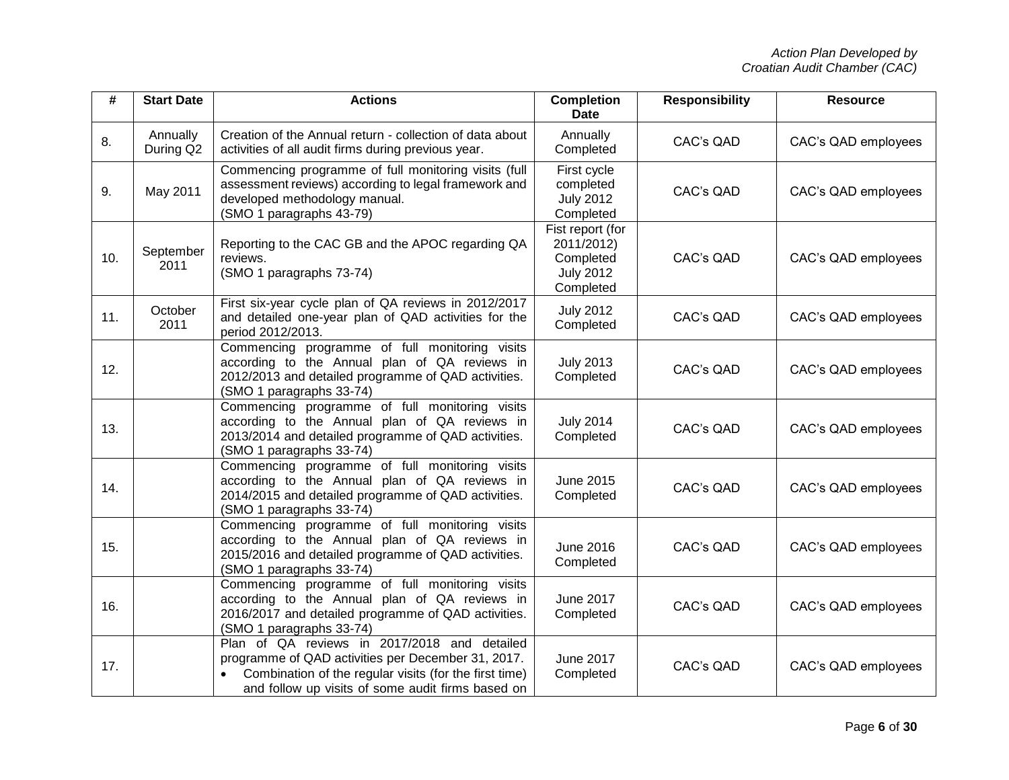| #   | <b>Start Date</b>     | <b>Actions</b>                                                                                                                                                                                                    | <b>Completion</b><br><b>Date</b>                                             | <b>Responsibility</b> | <b>Resource</b>     |
|-----|-----------------------|-------------------------------------------------------------------------------------------------------------------------------------------------------------------------------------------------------------------|------------------------------------------------------------------------------|-----------------------|---------------------|
| 8.  | Annually<br>During Q2 | Creation of the Annual return - collection of data about<br>activities of all audit firms during previous year.                                                                                                   | Annually<br>Completed                                                        | CAC's QAD             | CAC's QAD employees |
| 9.  | May 2011              | Commencing programme of full monitoring visits (full<br>assessment reviews) according to legal framework and<br>developed methodology manual.<br>(SMO 1 paragraphs 43-79)                                         | First cycle<br>completed<br><b>July 2012</b><br>Completed                    | CAC's QAD             | CAC's QAD employees |
| 10. | September<br>2011     | Reporting to the CAC GB and the APOC regarding QA<br>reviews.<br>(SMO 1 paragraphs 73-74)                                                                                                                         | Fist report (for<br>2011/2012)<br>Completed<br><b>July 2012</b><br>Completed | CAC's QAD             | CAC's QAD employees |
| 11. | October<br>2011       | First six-year cycle plan of QA reviews in 2012/2017<br>and detailed one-year plan of QAD activities for the<br>period 2012/2013.                                                                                 | <b>July 2012</b><br>Completed                                                | CAC's QAD             | CAC's QAD employees |
| 12. |                       | Commencing programme of full monitoring visits<br>according to the Annual plan of QA reviews in<br>2012/2013 and detailed programme of QAD activities.<br>(SMO 1 paragraphs 33-74)                                | <b>July 2013</b><br>Completed                                                | CAC's QAD             | CAC's QAD employees |
| 13. |                       | Commencing programme of full monitoring visits<br>according to the Annual plan of QA reviews in<br>2013/2014 and detailed programme of QAD activities.<br>(SMO 1 paragraphs 33-74)                                | <b>July 2014</b><br>Completed                                                | CAC's QAD             | CAC's QAD employees |
| 14. |                       | Commencing programme of full monitoring visits<br>according to the Annual plan of QA reviews in<br>2014/2015 and detailed programme of QAD activities.<br>(SMO 1 paragraphs 33-74)                                | June 2015<br>Completed                                                       | CAC's QAD             | CAC's QAD employees |
| 15. |                       | Commencing programme of full monitoring visits<br>according to the Annual plan of QA reviews in<br>2015/2016 and detailed programme of QAD activities.<br>(SMO 1 paragraphs 33-74)                                | <b>June 2016</b><br>Completed                                                | CAC's QAD             | CAC's QAD employees |
| 16. |                       | Commencing programme of full monitoring visits<br>according to the Annual plan of QA reviews in<br>2016/2017 and detailed programme of QAD activities.<br>(SMO 1 paragraphs 33-74)                                | <b>June 2017</b><br>Completed                                                | CAC's QAD             | CAC's QAD employees |
| 17. |                       | Plan of QA reviews in 2017/2018 and detailed<br>programme of QAD activities per December 31, 2017.<br>Combination of the regular visits (for the first time)<br>and follow up visits of some audit firms based on | June 2017<br>Completed                                                       | CAC's QAD             | CAC's QAD employees |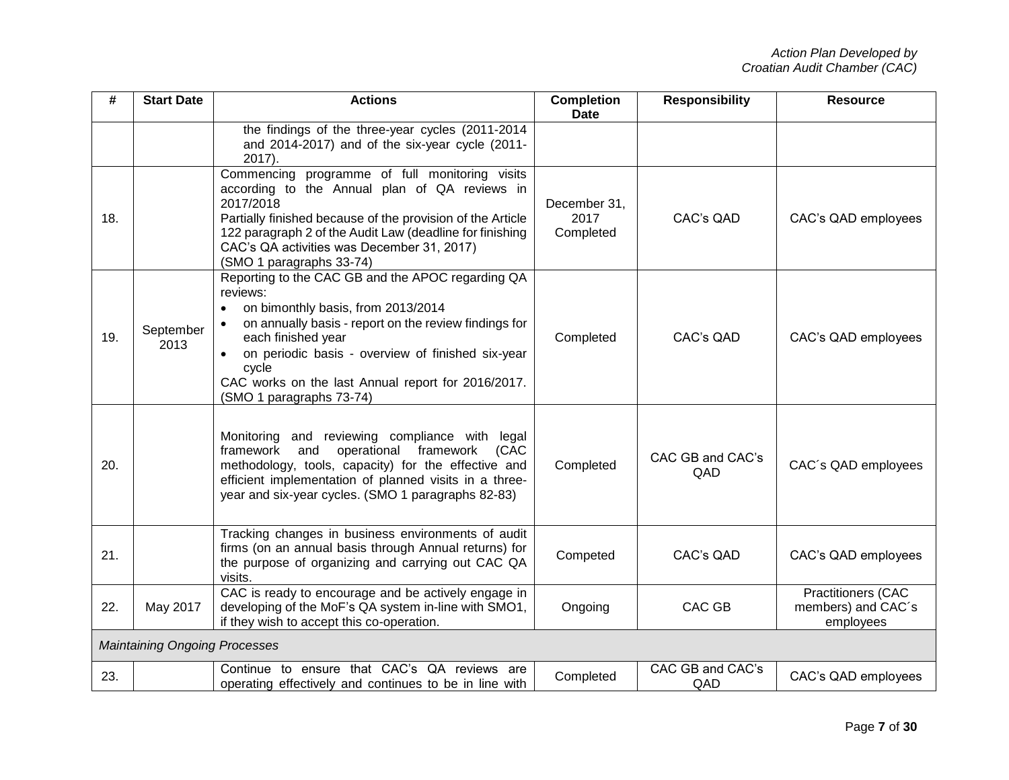| #   | <b>Start Date</b>                    | <b>Actions</b>                                                                                                                                                                                                                                                                                                                     | <b>Completion</b><br><b>Date</b>  | <b>Responsibility</b>   | <b>Resource</b>                                              |
|-----|--------------------------------------|------------------------------------------------------------------------------------------------------------------------------------------------------------------------------------------------------------------------------------------------------------------------------------------------------------------------------------|-----------------------------------|-------------------------|--------------------------------------------------------------|
|     |                                      | the findings of the three-year cycles (2011-2014<br>and 2014-2017) and of the six-year cycle (2011-<br>2017).                                                                                                                                                                                                                      |                                   |                         |                                                              |
| 18. |                                      | Commencing programme of full monitoring visits<br>according to the Annual plan of QA reviews in<br>2017/2018<br>Partially finished because of the provision of the Article<br>122 paragraph 2 of the Audit Law (deadline for finishing<br>CAC's QA activities was December 31, 2017)<br>(SMO 1 paragraphs 33-74)                   | December 31,<br>2017<br>Completed | CAC's QAD               | CAC's QAD employees                                          |
| 19. | September<br>2013                    | Reporting to the CAC GB and the APOC regarding QA<br>reviews:<br>on bimonthly basis, from 2013/2014<br>on annually basis - report on the review findings for<br>each finished year<br>on periodic basis - overview of finished six-year<br>cycle<br>CAC works on the last Annual report for 2016/2017.<br>(SMO 1 paragraphs 73-74) | Completed                         | CAC's QAD               | CAC's QAD employees                                          |
| 20. |                                      | and reviewing compliance with legal<br>Monitoring<br>operational<br>framework<br>framework<br>and<br>(CAC<br>methodology, tools, capacity) for the effective and<br>efficient implementation of planned visits in a three-<br>year and six-year cycles. (SMO 1 paragraphs 82-83)                                                   | Completed                         | CAC GB and CAC's<br>QAD | CAC's QAD employees                                          |
| 21. |                                      | Tracking changes in business environments of audit<br>firms (on an annual basis through Annual returns) for<br>the purpose of organizing and carrying out CAC QA<br>visits.                                                                                                                                                        | Competed                          | CAC's QAD               | CAC's QAD employees                                          |
| 22. | May 2017                             | CAC is ready to encourage and be actively engage in<br>developing of the MoF's QA system in-line with SMO1,<br>if they wish to accept this co-operation.                                                                                                                                                                           | Ongoing                           | <b>CAC GB</b>           | <b>Practitioners (CAC</b><br>members) and CAC's<br>employees |
|     | <b>Maintaining Ongoing Processes</b> |                                                                                                                                                                                                                                                                                                                                    |                                   |                         |                                                              |
| 23. |                                      | Continue to ensure that CAC's QA reviews are<br>operating effectively and continues to be in line with                                                                                                                                                                                                                             | Completed                         | CAC GB and CAC's<br>QAD | CAC's QAD employees                                          |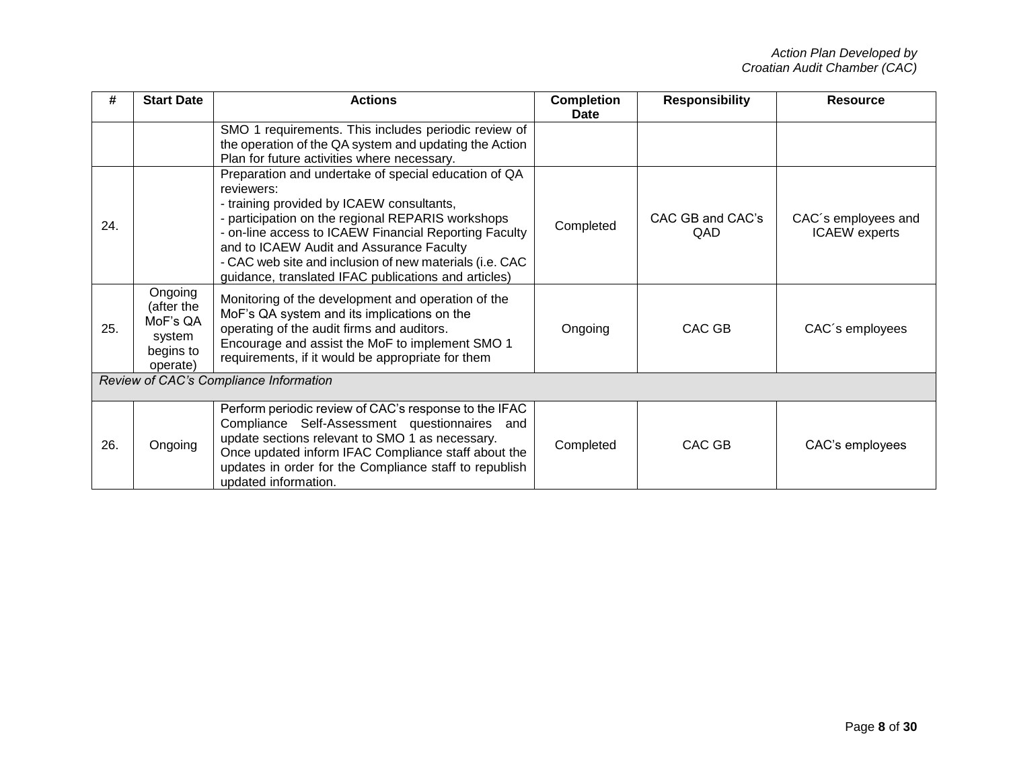| #                                      | <b>Start Date</b>                                                    | <b>Actions</b>                                                                                                                                                                                                                                                                                                                                                                               | <b>Completion</b><br>Date | <b>Responsibility</b>          | <b>Resource</b>                             |  |
|----------------------------------------|----------------------------------------------------------------------|----------------------------------------------------------------------------------------------------------------------------------------------------------------------------------------------------------------------------------------------------------------------------------------------------------------------------------------------------------------------------------------------|---------------------------|--------------------------------|---------------------------------------------|--|
|                                        |                                                                      | SMO 1 requirements. This includes periodic review of<br>the operation of the QA system and updating the Action<br>Plan for future activities where necessary.                                                                                                                                                                                                                                |                           |                                |                                             |  |
| 24.                                    |                                                                      | Preparation and undertake of special education of QA<br>reviewers:<br>- training provided by ICAEW consultants,<br>- participation on the regional REPARIS workshops<br>- on-line access to ICAEW Financial Reporting Faculty<br>and to ICAEW Audit and Assurance Faculty<br>- CAC web site and inclusion of new materials (i.e. CAC<br>guidance, translated IFAC publications and articles) | Completed                 | CAC GB and CAC's<br><b>QAD</b> | CAC's employees and<br><b>ICAEW</b> experts |  |
| 25.                                    | Ongoing<br>(after the<br>MoF's QA<br>system<br>begins to<br>operate) | Monitoring of the development and operation of the<br>MoF's QA system and its implications on the<br>operating of the audit firms and auditors.<br>Encourage and assist the MoF to implement SMO 1<br>requirements, if it would be appropriate for them                                                                                                                                      | Ongoing                   | CAC GB                         | CAC's employees                             |  |
| Review of CAC's Compliance Information |                                                                      |                                                                                                                                                                                                                                                                                                                                                                                              |                           |                                |                                             |  |
| 26.                                    | Ongoing                                                              | Perform periodic review of CAC's response to the IFAC<br>Compliance Self-Assessment questionnaires<br>and<br>update sections relevant to SMO 1 as necessary.<br>Once updated inform IFAC Compliance staff about the<br>updates in order for the Compliance staff to republish<br>updated information.                                                                                        | Completed                 | CAC GB                         | CAC's employees                             |  |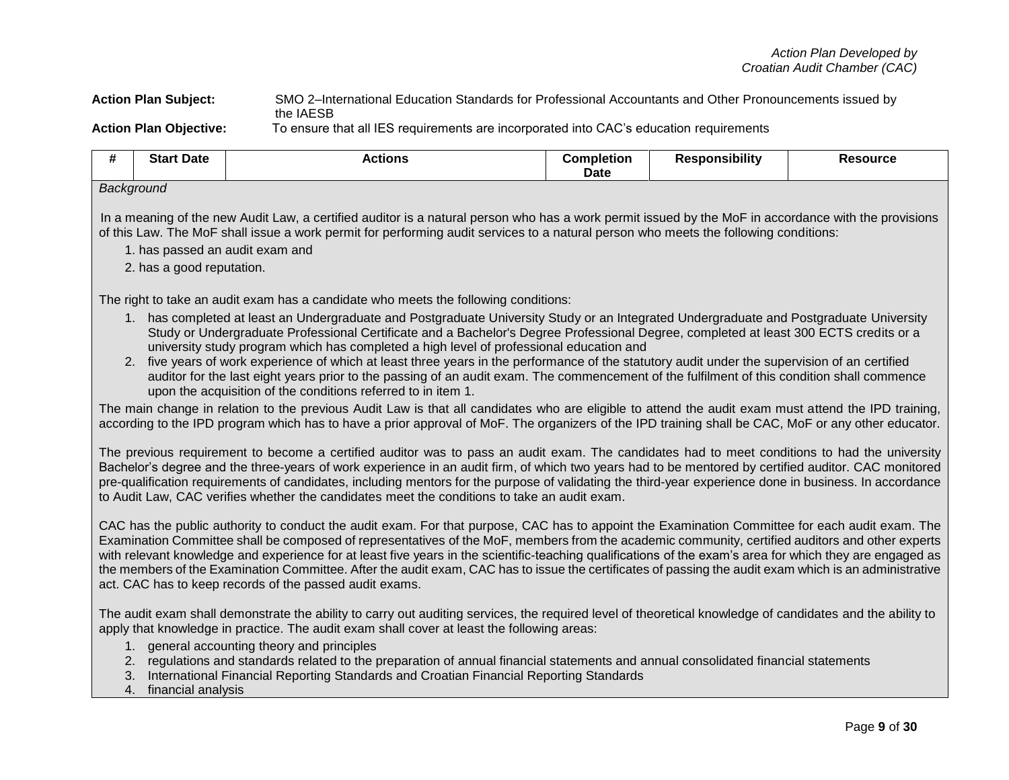### **Action Plan Subject:** SMO 2–International Education Standards for Professional Accountants and Other Pronouncements issued by the IAESB **Action Plan Objective:** To ensure that all IES requirements are incorporated into CAC's education requirements

| <br>               | : Date<br>экан | <b>Actions</b> | Completion<br><b>Date</b> | <b>Responsibility</b> | `source |
|--------------------|----------------|----------------|---------------------------|-----------------------|---------|
| <b>Doolmeninal</b> |                |                |                           |                       |         |

### *Background*

In a meaning of the new Audit Law, a certified auditor is a natural person who has a work permit issued by the MoF in accordance with the provisions of this Law. The MoF shall issue a work permit for performing audit services to a natural person who meets the following conditions:

- 1. has passed an audit exam and
- 2. has a good reputation.

The right to take an audit exam has a candidate who meets the following conditions:

- 1. has completed at least an Undergraduate and Postgraduate University Study or an Integrated Undergraduate and Postgraduate University Study or Undergraduate Professional Certificate and a Bachelor's Degree Professional Degree, completed at least 300 ECTS credits or a university study program which has completed a high level of professional education and
- 2. five years of work experience of which at least three years in the performance of the statutory audit under the supervision of an certified auditor for the last eight years prior to the passing of an audit exam. The commencement of the fulfilment of this condition shall commence upon the acquisition of the conditions referred to in item 1.

The main change in relation to the previous Audit Law is that all candidates who are eligible to attend the audit exam must attend the IPD training, according to the IPD program which has to have a prior approval of MoF. The organizers of the IPD training shall be CAC, MoF or any other educator.

The previous requirement to become a certified auditor was to pass an audit exam. The candidates had to meet conditions to had the university Bachelor's degree and the three-years of work experience in an audit firm, of which two years had to be mentored by certified auditor. CAC monitored pre-qualification requirements of candidates, including mentors for the purpose of validating the third-year experience done in business. In accordance to Audit Law, CAC verifies whether the candidates meet the conditions to take an audit exam.

CAC has the public authority to conduct the audit exam. For that purpose, CAC has to appoint the Examination Committee for each audit exam. The Examination Committee shall be composed of representatives of the MoF, members from the academic community, certified auditors and other experts with relevant knowledge and experience for at least five years in the scientific-teaching qualifications of the exam's area for which they are engaged as the members of the Examination Committee. After the audit exam, CAC has to issue the certificates of passing the audit exam which is an administrative act. CAC has to keep records of the passed audit exams.

The audit exam shall demonstrate the ability to carry out auditing services, the required level of theoretical knowledge of candidates and the ability to apply that knowledge in practice. The audit exam shall cover at least the following areas:

- 1. general accounting theory and principles
- 2. regulations and standards related to the preparation of annual financial statements and annual consolidated financial statements
- 3. International Financial Reporting Standards and Croatian Financial Reporting Standards
- 4. financial analysis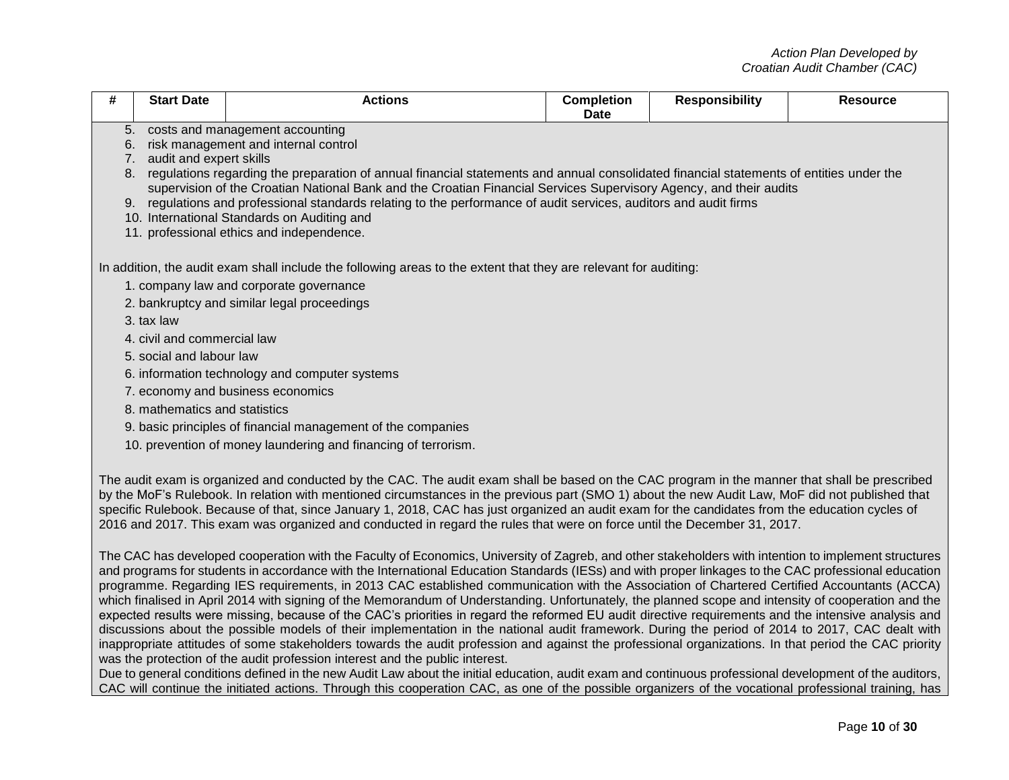| #                                                                                                                                                                                                                                                                                                                                                                                                                                                                                                                                                                                | <b>Start Date</b>                                                                                                                                                           | <b>Actions</b>                                                                                                                                                                                                                                                                                                                                                                                                                                                                                                                                                                                                                                                                                                                                                                                                                                                                                                                                                                                                                                                                           | <b>Completion</b><br><b>Date</b> | <b>Responsibility</b> | <b>Resource</b> |  |
|----------------------------------------------------------------------------------------------------------------------------------------------------------------------------------------------------------------------------------------------------------------------------------------------------------------------------------------------------------------------------------------------------------------------------------------------------------------------------------------------------------------------------------------------------------------------------------|-----------------------------------------------------------------------------------------------------------------------------------------------------------------------------|------------------------------------------------------------------------------------------------------------------------------------------------------------------------------------------------------------------------------------------------------------------------------------------------------------------------------------------------------------------------------------------------------------------------------------------------------------------------------------------------------------------------------------------------------------------------------------------------------------------------------------------------------------------------------------------------------------------------------------------------------------------------------------------------------------------------------------------------------------------------------------------------------------------------------------------------------------------------------------------------------------------------------------------------------------------------------------------|----------------------------------|-----------------------|-----------------|--|
| 5.                                                                                                                                                                                                                                                                                                                                                                                                                                                                                                                                                                               |                                                                                                                                                                             | costs and management accounting                                                                                                                                                                                                                                                                                                                                                                                                                                                                                                                                                                                                                                                                                                                                                                                                                                                                                                                                                                                                                                                          |                                  |                       |                 |  |
| 6.                                                                                                                                                                                                                                                                                                                                                                                                                                                                                                                                                                               |                                                                                                                                                                             | risk management and internal control                                                                                                                                                                                                                                                                                                                                                                                                                                                                                                                                                                                                                                                                                                                                                                                                                                                                                                                                                                                                                                                     |                                  |                       |                 |  |
|                                                                                                                                                                                                                                                                                                                                                                                                                                                                                                                                                                                  | audit and expert skills<br>7.<br>8. regulations regarding the preparation of annual financial statements and annual consolidated financial statements of entities under the |                                                                                                                                                                                                                                                                                                                                                                                                                                                                                                                                                                                                                                                                                                                                                                                                                                                                                                                                                                                                                                                                                          |                                  |                       |                 |  |
|                                                                                                                                                                                                                                                                                                                                                                                                                                                                                                                                                                                  |                                                                                                                                                                             | supervision of the Croatian National Bank and the Croatian Financial Services Supervisory Agency, and their audits                                                                                                                                                                                                                                                                                                                                                                                                                                                                                                                                                                                                                                                                                                                                                                                                                                                                                                                                                                       |                                  |                       |                 |  |
|                                                                                                                                                                                                                                                                                                                                                                                                                                                                                                                                                                                  |                                                                                                                                                                             | 9. regulations and professional standards relating to the performance of audit services, auditors and audit firms                                                                                                                                                                                                                                                                                                                                                                                                                                                                                                                                                                                                                                                                                                                                                                                                                                                                                                                                                                        |                                  |                       |                 |  |
|                                                                                                                                                                                                                                                                                                                                                                                                                                                                                                                                                                                  |                                                                                                                                                                             | 10. International Standards on Auditing and                                                                                                                                                                                                                                                                                                                                                                                                                                                                                                                                                                                                                                                                                                                                                                                                                                                                                                                                                                                                                                              |                                  |                       |                 |  |
|                                                                                                                                                                                                                                                                                                                                                                                                                                                                                                                                                                                  |                                                                                                                                                                             | 11. professional ethics and independence.                                                                                                                                                                                                                                                                                                                                                                                                                                                                                                                                                                                                                                                                                                                                                                                                                                                                                                                                                                                                                                                |                                  |                       |                 |  |
|                                                                                                                                                                                                                                                                                                                                                                                                                                                                                                                                                                                  |                                                                                                                                                                             | In addition, the audit exam shall include the following areas to the extent that they are relevant for auditing:                                                                                                                                                                                                                                                                                                                                                                                                                                                                                                                                                                                                                                                                                                                                                                                                                                                                                                                                                                         |                                  |                       |                 |  |
|                                                                                                                                                                                                                                                                                                                                                                                                                                                                                                                                                                                  |                                                                                                                                                                             | 1. company law and corporate governance                                                                                                                                                                                                                                                                                                                                                                                                                                                                                                                                                                                                                                                                                                                                                                                                                                                                                                                                                                                                                                                  |                                  |                       |                 |  |
|                                                                                                                                                                                                                                                                                                                                                                                                                                                                                                                                                                                  |                                                                                                                                                                             | 2. bankruptcy and similar legal proceedings                                                                                                                                                                                                                                                                                                                                                                                                                                                                                                                                                                                                                                                                                                                                                                                                                                                                                                                                                                                                                                              |                                  |                       |                 |  |
|                                                                                                                                                                                                                                                                                                                                                                                                                                                                                                                                                                                  | 3. tax law                                                                                                                                                                  |                                                                                                                                                                                                                                                                                                                                                                                                                                                                                                                                                                                                                                                                                                                                                                                                                                                                                                                                                                                                                                                                                          |                                  |                       |                 |  |
|                                                                                                                                                                                                                                                                                                                                                                                                                                                                                                                                                                                  | 4. civil and commercial law                                                                                                                                                 |                                                                                                                                                                                                                                                                                                                                                                                                                                                                                                                                                                                                                                                                                                                                                                                                                                                                                                                                                                                                                                                                                          |                                  |                       |                 |  |
|                                                                                                                                                                                                                                                                                                                                                                                                                                                                                                                                                                                  | 5. social and labour law                                                                                                                                                    |                                                                                                                                                                                                                                                                                                                                                                                                                                                                                                                                                                                                                                                                                                                                                                                                                                                                                                                                                                                                                                                                                          |                                  |                       |                 |  |
|                                                                                                                                                                                                                                                                                                                                                                                                                                                                                                                                                                                  |                                                                                                                                                                             | 6. information technology and computer systems                                                                                                                                                                                                                                                                                                                                                                                                                                                                                                                                                                                                                                                                                                                                                                                                                                                                                                                                                                                                                                           |                                  |                       |                 |  |
|                                                                                                                                                                                                                                                                                                                                                                                                                                                                                                                                                                                  |                                                                                                                                                                             | 7. economy and business economics                                                                                                                                                                                                                                                                                                                                                                                                                                                                                                                                                                                                                                                                                                                                                                                                                                                                                                                                                                                                                                                        |                                  |                       |                 |  |
|                                                                                                                                                                                                                                                                                                                                                                                                                                                                                                                                                                                  | 8. mathematics and statistics                                                                                                                                               |                                                                                                                                                                                                                                                                                                                                                                                                                                                                                                                                                                                                                                                                                                                                                                                                                                                                                                                                                                                                                                                                                          |                                  |                       |                 |  |
|                                                                                                                                                                                                                                                                                                                                                                                                                                                                                                                                                                                  |                                                                                                                                                                             | 9. basic principles of financial management of the companies                                                                                                                                                                                                                                                                                                                                                                                                                                                                                                                                                                                                                                                                                                                                                                                                                                                                                                                                                                                                                             |                                  |                       |                 |  |
|                                                                                                                                                                                                                                                                                                                                                                                                                                                                                                                                                                                  |                                                                                                                                                                             | 10. prevention of money laundering and financing of terrorism.                                                                                                                                                                                                                                                                                                                                                                                                                                                                                                                                                                                                                                                                                                                                                                                                                                                                                                                                                                                                                           |                                  |                       |                 |  |
| The audit exam is organized and conducted by the CAC. The audit exam shall be based on the CAC program in the manner that shall be prescribed<br>by the MoF's Rulebook. In relation with mentioned circumstances in the previous part (SMO 1) about the new Audit Law, MoF did not published that<br>specific Rulebook. Because of that, since January 1, 2018, CAC has just organized an audit exam for the candidates from the education cycles of<br>2016 and 2017. This exam was organized and conducted in regard the rules that were on force until the December 31, 2017. |                                                                                                                                                                             |                                                                                                                                                                                                                                                                                                                                                                                                                                                                                                                                                                                                                                                                                                                                                                                                                                                                                                                                                                                                                                                                                          |                                  |                       |                 |  |
|                                                                                                                                                                                                                                                                                                                                                                                                                                                                                                                                                                                  |                                                                                                                                                                             | The CAC has developed cooperation with the Faculty of Economics, University of Zagreb, and other stakeholders with intention to implement structures<br>and programs for students in accordance with the International Education Standards (IESs) and with proper linkages to the CAC professional education<br>programme. Regarding IES requirements, in 2013 CAC established communication with the Association of Chartered Certified Accountants (ACCA)<br>which finalised in April 2014 with signing of the Memorandum of Understanding. Unfortunately, the planned scope and intensity of cooperation and the<br>expected results were missing, because of the CAC's priorities in regard the reformed EU audit directive requirements and the intensive analysis and<br>discussions about the possible models of their implementation in the national audit framework. During the period of 2014 to 2017, CAC dealt with<br>inappropriate attitudes of some stakeholders towards the audit profession and against the professional organizations. In that period the CAC priority |                                  |                       |                 |  |

was the protection of the audit profession interest and the public interest. Due to general conditions defined in the new Audit Law about the initial education, audit exam and continuous professional development of the auditors, CAC will continue the initiated actions. Through this cooperation CAC, as one of the possible organizers of the vocational professional training, has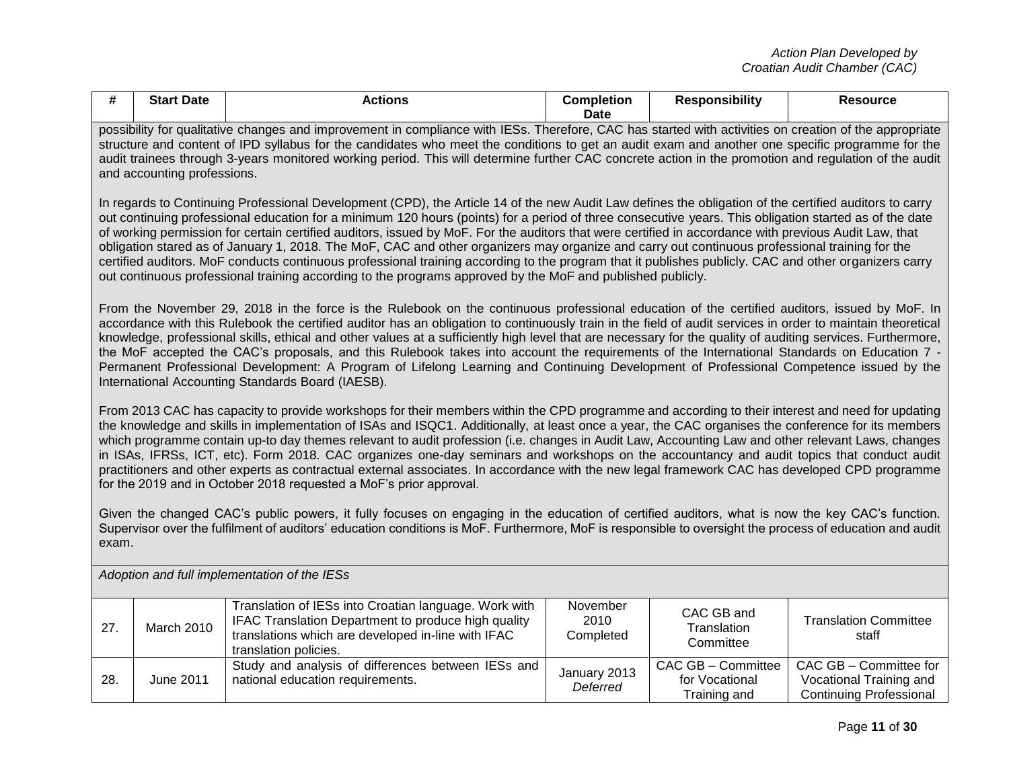| #                                                                                                                                                                                                                                                                                                                                                                                                                                                                                                                                                                                                                                                                                                                                                                                                                                                                                                                                                                                                                                                                                                                                                        | <b>Start Date</b>                                                                                                                                                                                                                                                                                                                                                                                                                                                                                  | <b>Actions</b>                                                                                                                                                                                                                                                                                                                                                                                                                                                                                                                                                                                                                                                                                                                                                                                                            | <b>Completion</b><br><b>Date</b> | <b>Responsibility</b>                                   | <b>Resource</b>                                                              |
|----------------------------------------------------------------------------------------------------------------------------------------------------------------------------------------------------------------------------------------------------------------------------------------------------------------------------------------------------------------------------------------------------------------------------------------------------------------------------------------------------------------------------------------------------------------------------------------------------------------------------------------------------------------------------------------------------------------------------------------------------------------------------------------------------------------------------------------------------------------------------------------------------------------------------------------------------------------------------------------------------------------------------------------------------------------------------------------------------------------------------------------------------------|----------------------------------------------------------------------------------------------------------------------------------------------------------------------------------------------------------------------------------------------------------------------------------------------------------------------------------------------------------------------------------------------------------------------------------------------------------------------------------------------------|---------------------------------------------------------------------------------------------------------------------------------------------------------------------------------------------------------------------------------------------------------------------------------------------------------------------------------------------------------------------------------------------------------------------------------------------------------------------------------------------------------------------------------------------------------------------------------------------------------------------------------------------------------------------------------------------------------------------------------------------------------------------------------------------------------------------------|----------------------------------|---------------------------------------------------------|------------------------------------------------------------------------------|
|                                                                                                                                                                                                                                                                                                                                                                                                                                                                                                                                                                                                                                                                                                                                                                                                                                                                                                                                                                                                                                                                                                                                                          | possibility for qualitative changes and improvement in compliance with IESs. Therefore, CAC has started with activities on creation of the appropriate<br>structure and content of IPD syllabus for the candidates who meet the conditions to get an audit exam and another one specific programme for the<br>audit trainees through 3-years monitored working period. This will determine further CAC concrete action in the promotion and regulation of the audit<br>and accounting professions. |                                                                                                                                                                                                                                                                                                                                                                                                                                                                                                                                                                                                                                                                                                                                                                                                                           |                                  |                                                         |                                                                              |
| In regards to Continuing Professional Development (CPD), the Article 14 of the new Audit Law defines the obligation of the certified auditors to carry<br>out continuing professional education for a minimum 120 hours (points) for a period of three consecutive years. This obligation started as of the date<br>of working permission for certain certified auditors, issued by MoF. For the auditors that were certified in accordance with previous Audit Law, that<br>obligation stared as of January 1, 2018. The MoF, CAC and other organizers may organize and carry out continuous professional training for the<br>certified auditors. MoF conducts continuous professional training according to the program that it publishes publicly. CAC and other organizers carry<br>out continuous professional training according to the programs approved by the MoF and published publicly.                                                                                                                                                                                                                                                       |                                                                                                                                                                                                                                                                                                                                                                                                                                                                                                    |                                                                                                                                                                                                                                                                                                                                                                                                                                                                                                                                                                                                                                                                                                                                                                                                                           |                                  |                                                         |                                                                              |
|                                                                                                                                                                                                                                                                                                                                                                                                                                                                                                                                                                                                                                                                                                                                                                                                                                                                                                                                                                                                                                                                                                                                                          |                                                                                                                                                                                                                                                                                                                                                                                                                                                                                                    | From the November 29, 2018 in the force is the Rulebook on the continuous professional education of the certified auditors, issued by MoF. In<br>accordance with this Rulebook the certified auditor has an obligation to continuously train in the field of audit services in order to maintain theoretical<br>knowledge, professional skills, ethical and other values at a sufficiently high level that are necessary for the quality of auditing services. Furthermore,<br>the MoF accepted the CAC's proposals, and this Rulebook takes into account the requirements of the International Standards on Education 7 -<br>Permanent Professional Development: A Program of Lifelong Learning and Continuing Development of Professional Competence issued by the<br>International Accounting Standards Board (IAESB). |                                  |                                                         |                                                                              |
| From 2013 CAC has capacity to provide workshops for their members within the CPD programme and according to their interest and need for updating<br>the knowledge and skills in implementation of ISAs and ISQC1. Additionally, at least once a year, the CAC organises the conference for its members<br>which programme contain up-to day themes relevant to audit profession (i.e. changes in Audit Law, Accounting Law and other relevant Laws, changes<br>in ISAs, IFRSs, ICT, etc). Form 2018. CAC organizes one-day seminars and workshops on the accountancy and audit topics that conduct audit<br>practitioners and other experts as contractual external associates. In accordance with the new legal framework CAC has developed CPD programme<br>for the 2019 and in October 2018 requested a MoF's prior approval.<br>Given the changed CAC's public powers, it fully focuses on engaging in the education of certified auditors, what is now the key CAC's function.<br>Supervisor over the fulfilment of auditors' education conditions is MoF. Furthermore, MoF is responsible to oversight the process of education and audit<br>exam. |                                                                                                                                                                                                                                                                                                                                                                                                                                                                                                    |                                                                                                                                                                                                                                                                                                                                                                                                                                                                                                                                                                                                                                                                                                                                                                                                                           |                                  |                                                         |                                                                              |
| Adoption and full implementation of the IESs                                                                                                                                                                                                                                                                                                                                                                                                                                                                                                                                                                                                                                                                                                                                                                                                                                                                                                                                                                                                                                                                                                             |                                                                                                                                                                                                                                                                                                                                                                                                                                                                                                    |                                                                                                                                                                                                                                                                                                                                                                                                                                                                                                                                                                                                                                                                                                                                                                                                                           |                                  |                                                         |                                                                              |
| 27.                                                                                                                                                                                                                                                                                                                                                                                                                                                                                                                                                                                                                                                                                                                                                                                                                                                                                                                                                                                                                                                                                                                                                      | March 2010                                                                                                                                                                                                                                                                                                                                                                                                                                                                                         | Translation of IESs into Croatian language. Work with<br>IFAC Translation Department to produce high quality<br>translations which are developed in-line with IFAC<br>translation policies.                                                                                                                                                                                                                                                                                                                                                                                                                                                                                                                                                                                                                               | November<br>2010<br>Completed    | CAC GB and<br>Translation<br>Committee                  | <b>Translation Committee</b><br>staff                                        |
| 28.                                                                                                                                                                                                                                                                                                                                                                                                                                                                                                                                                                                                                                                                                                                                                                                                                                                                                                                                                                                                                                                                                                                                                      | <b>June 2011</b>                                                                                                                                                                                                                                                                                                                                                                                                                                                                                   | Study and analysis of differences between IESs and<br>national education requirements.                                                                                                                                                                                                                                                                                                                                                                                                                                                                                                                                                                                                                                                                                                                                    | January 2013<br>Deferred         | CAC GB - Committee<br>for Vocational<br>Tuebala a an al | CAC GB - Committee for<br>Vocational Training and<br>Continuing Desfanatoral |

Vocational Training and Continuing Professional

for Vocational Training and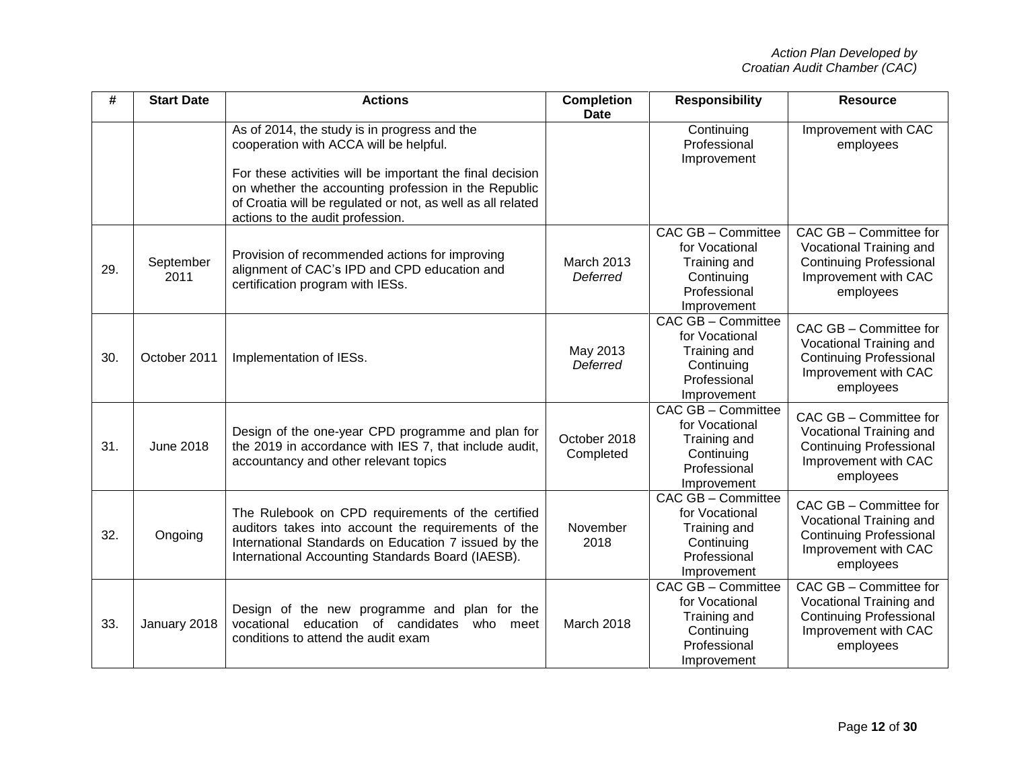| #   | <b>Start Date</b> | <b>Actions</b>                                                                                                                                                                                                                                                                                                 | <b>Completion</b><br><b>Date</b> | <b>Responsibility</b>                                                                                    | <b>Resource</b>                                                                                                          |
|-----|-------------------|----------------------------------------------------------------------------------------------------------------------------------------------------------------------------------------------------------------------------------------------------------------------------------------------------------------|----------------------------------|----------------------------------------------------------------------------------------------------------|--------------------------------------------------------------------------------------------------------------------------|
|     |                   | As of 2014, the study is in progress and the<br>cooperation with ACCA will be helpful.<br>For these activities will be important the final decision<br>on whether the accounting profession in the Republic<br>of Croatia will be regulated or not, as well as all related<br>actions to the audit profession. |                                  | Continuing<br>Professional<br>Improvement                                                                | Improvement with CAC<br>employees                                                                                        |
| 29. | September<br>2011 | Provision of recommended actions for improving<br>alignment of CAC's IPD and CPD education and<br>certification program with IESs.                                                                                                                                                                             | March 2013<br>Deferred           | CAC GB - Committee<br>for Vocational<br>Training and<br>Continuing<br>Professional<br>Improvement        | CAC GB - Committee for<br>Vocational Training and<br><b>Continuing Professional</b><br>Improvement with CAC<br>employees |
| 30. | October 2011      | Implementation of IESs.                                                                                                                                                                                                                                                                                        | May 2013<br>Deferred             | CAC GB - Committee<br>for Vocational<br>Training and<br>Continuing<br>Professional<br>Improvement        | CAC GB - Committee for<br>Vocational Training and<br><b>Continuing Professional</b><br>Improvement with CAC<br>employees |
| 31. | <b>June 2018</b>  | Design of the one-year CPD programme and plan for<br>the 2019 in accordance with IES 7, that include audit,<br>accountancy and other relevant topics                                                                                                                                                           | October 2018<br>Completed        | CAC GB - Committee<br>for Vocational<br>Training and<br>Continuing<br>Professional<br>Improvement        | CAC GB - Committee for<br>Vocational Training and<br><b>Continuing Professional</b><br>Improvement with CAC<br>employees |
| 32. | Ongoing           | The Rulebook on CPD requirements of the certified<br>auditors takes into account the requirements of the<br>International Standards on Education 7 issued by the<br>International Accounting Standards Board (IAESB).                                                                                          | November<br>2018                 | CAC GB - Committee<br>for Vocational<br>Training and<br>Continuing<br>Professional<br>Improvement        | CAC GB - Committee for<br>Vocational Training and<br><b>Continuing Professional</b><br>Improvement with CAC<br>employees |
| 33. | January 2018      | Design of the new programme and plan for the<br>vocational<br>education of candidates<br>who<br>meet<br>conditions to attend the audit exam                                                                                                                                                                    | March 2018                       | <b>CAC GB - Committee</b><br>for Vocational<br>Training and<br>Continuing<br>Professional<br>Improvement | CAC GB - Committee for<br>Vocational Training and<br><b>Continuing Professional</b><br>Improvement with CAC<br>employees |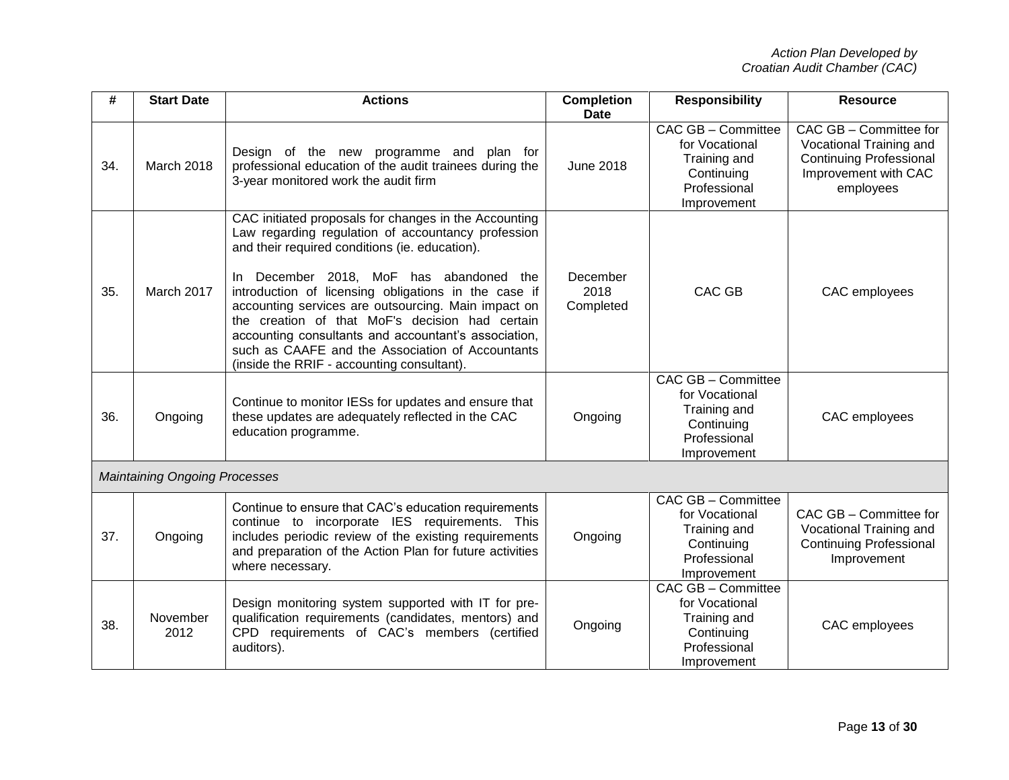| #   | <b>Start Date</b>                    | <b>Actions</b>                                                                                                                                                                                                                                                                                                                                                                                                                                                                                                                       | <b>Completion</b><br><b>Date</b> | <b>Responsibility</b>                                                                             | <b>Resource</b>                                                                                                          |
|-----|--------------------------------------|--------------------------------------------------------------------------------------------------------------------------------------------------------------------------------------------------------------------------------------------------------------------------------------------------------------------------------------------------------------------------------------------------------------------------------------------------------------------------------------------------------------------------------------|----------------------------------|---------------------------------------------------------------------------------------------------|--------------------------------------------------------------------------------------------------------------------------|
| 34. | March 2018                           | Design of the new programme and plan for<br>professional education of the audit trainees during the<br>3-year monitored work the audit firm                                                                                                                                                                                                                                                                                                                                                                                          | <b>June 2018</b>                 | CAC GB - Committee<br>for Vocational<br>Training and<br>Continuing<br>Professional<br>Improvement | CAC GB - Committee for<br>Vocational Training and<br><b>Continuing Professional</b><br>Improvement with CAC<br>employees |
| 35. | March 2017                           | CAC initiated proposals for changes in the Accounting<br>Law regarding regulation of accountancy profession<br>and their required conditions (ie. education).<br>In December 2018, MoF has abandoned the<br>introduction of licensing obligations in the case if<br>accounting services are outsourcing. Main impact on<br>the creation of that MoF's decision had certain<br>accounting consultants and accountant's association,<br>such as CAAFE and the Association of Accountants<br>(inside the RRIF - accounting consultant). | December<br>2018<br>Completed    | <b>CAC GB</b>                                                                                     | CAC employees                                                                                                            |
| 36. | Ongoing                              | Continue to monitor IESs for updates and ensure that<br>these updates are adequately reflected in the CAC<br>education programme.                                                                                                                                                                                                                                                                                                                                                                                                    | Ongoing                          | CAC GB - Committee<br>for Vocational<br>Training and<br>Continuing<br>Professional<br>Improvement | CAC employees                                                                                                            |
|     | <b>Maintaining Ongoing Processes</b> |                                                                                                                                                                                                                                                                                                                                                                                                                                                                                                                                      |                                  |                                                                                                   |                                                                                                                          |
| 37. | Ongoing                              | Continue to ensure that CAC's education requirements<br>continue to incorporate IES requirements. This<br>includes periodic review of the existing requirements<br>and preparation of the Action Plan for future activities<br>where necessary.                                                                                                                                                                                                                                                                                      | Ongoing                          | CAC GB - Committee<br>for Vocational<br>Training and<br>Continuing<br>Professional<br>Improvement | CAC GB - Committee for<br>Vocational Training and<br><b>Continuing Professional</b><br>Improvement                       |
| 38. | November<br>2012                     | Design monitoring system supported with IT for pre-<br>qualification requirements (candidates, mentors) and<br>CPD requirements of CAC's members (certified<br>auditors).                                                                                                                                                                                                                                                                                                                                                            | Ongoing                          | CAC GB - Committee<br>for Vocational<br>Training and<br>Continuing<br>Professional<br>Improvement | CAC employees                                                                                                            |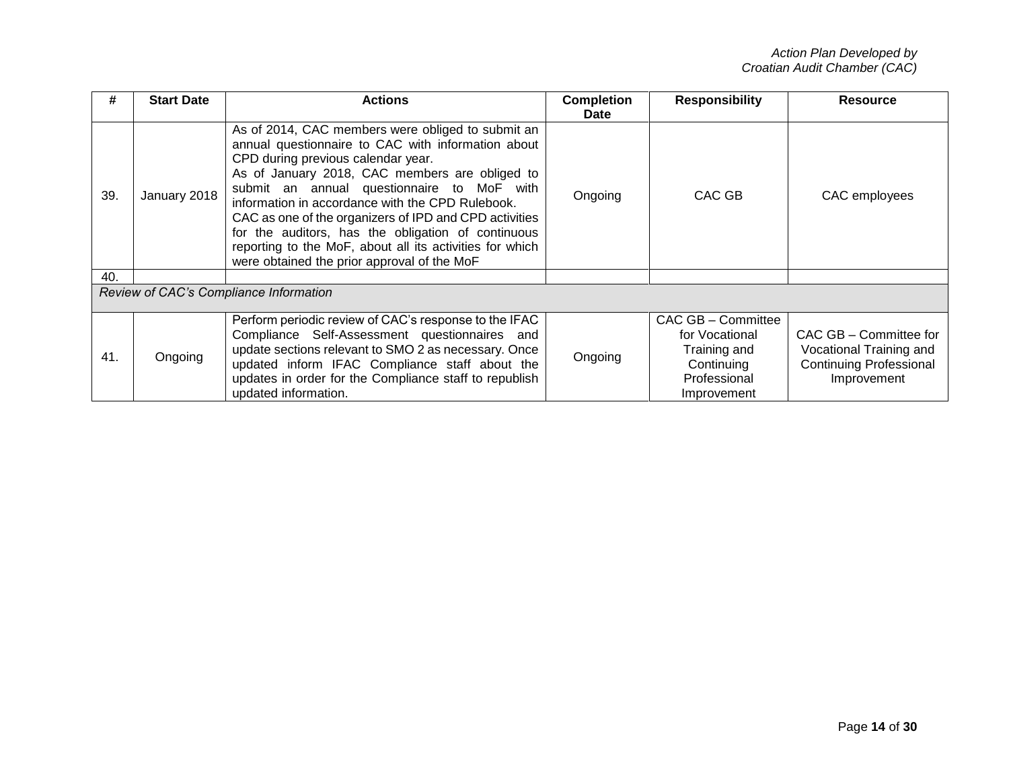| #   | <b>Start Date</b> | <b>Actions</b>                                                                                                                                                                                                                                                                                                                                                                                                                                                                                                               | <b>Completion</b><br>Date | <b>Responsibility</b>                                                                             | <b>Resource</b>                                                                                    |
|-----|-------------------|------------------------------------------------------------------------------------------------------------------------------------------------------------------------------------------------------------------------------------------------------------------------------------------------------------------------------------------------------------------------------------------------------------------------------------------------------------------------------------------------------------------------------|---------------------------|---------------------------------------------------------------------------------------------------|----------------------------------------------------------------------------------------------------|
| 39. | January 2018      | As of 2014, CAC members were obliged to submit an<br>annual questionnaire to CAC with information about<br>CPD during previous calendar year.<br>As of January 2018, CAC members are obliged to<br>submit an annual questionnaire to MoF with<br>information in accordance with the CPD Rulebook.<br>CAC as one of the organizers of IPD and CPD activities<br>for the auditors, has the obligation of continuous<br>reporting to the MoF, about all its activities for which<br>were obtained the prior approval of the MoF | Ongoing                   | CAC GB                                                                                            | CAC employees                                                                                      |
| 40. |                   |                                                                                                                                                                                                                                                                                                                                                                                                                                                                                                                              |                           |                                                                                                   |                                                                                                    |
|     |                   | Review of CAC's Compliance Information                                                                                                                                                                                                                                                                                                                                                                                                                                                                                       |                           |                                                                                                   |                                                                                                    |
| 41. | Ongoing           | Perform periodic review of CAC's response to the IFAC<br>Compliance Self-Assessment questionnaires and<br>update sections relevant to SMO 2 as necessary. Once<br>updated inform IFAC Compliance staff about the<br>updates in order for the Compliance staff to republish<br>updated information.                                                                                                                                                                                                                           | Ongoing                   | CAC GB - Committee<br>for Vocational<br>Training and<br>Continuing<br>Professional<br>Improvement | CAC GB - Committee for<br>Vocational Training and<br><b>Continuing Professional</b><br>Improvement |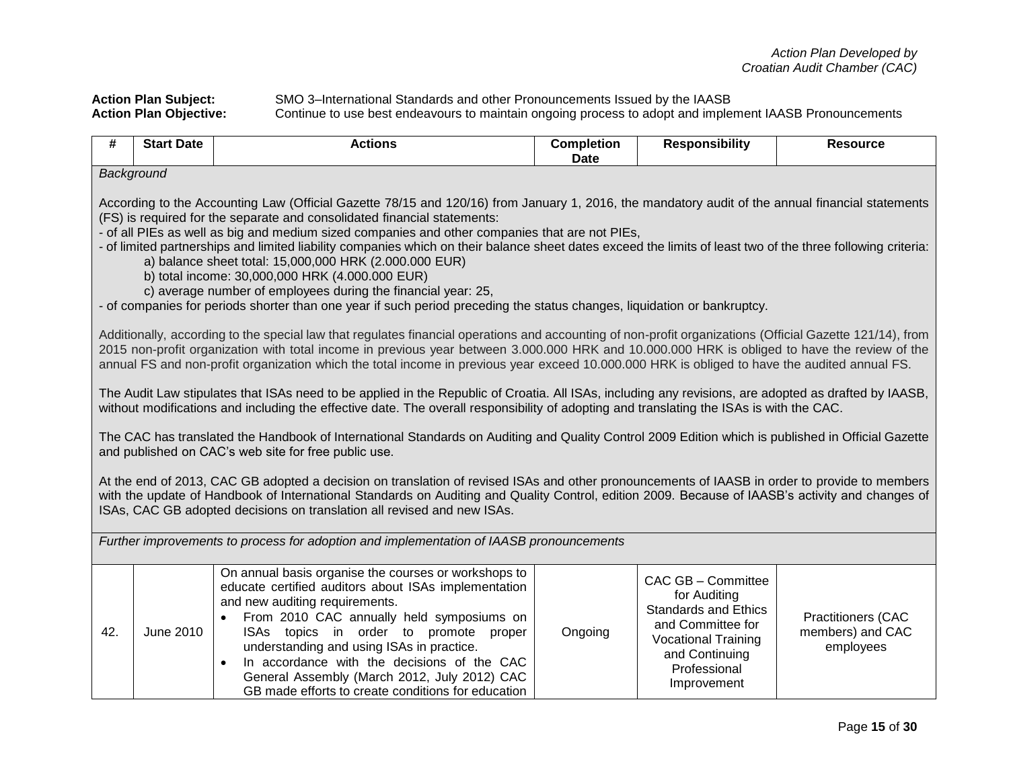**Action Plan Subject:** SMO 3–International Standards and other Pronouncements Issued by the IAASB **Action Plan Objective:** Continue to use best endeavours to maintain ongoing process to adopt and implement IAASB Pronouncements

| #   | <b>Start Date</b>                                                                                                                                                                                                                                                                                                                                                                                                                                                                                                                                                                                                                                                                                                                                                                                        | <b>Actions</b>                                                                                                                                                                                                                                                                                                                                                                                                                                              | <b>Completion</b><br><b>Date</b> | <b>Responsibility</b>                                                                                                                                                 | <b>Resource</b>                                            |  |  |  |
|-----|----------------------------------------------------------------------------------------------------------------------------------------------------------------------------------------------------------------------------------------------------------------------------------------------------------------------------------------------------------------------------------------------------------------------------------------------------------------------------------------------------------------------------------------------------------------------------------------------------------------------------------------------------------------------------------------------------------------------------------------------------------------------------------------------------------|-------------------------------------------------------------------------------------------------------------------------------------------------------------------------------------------------------------------------------------------------------------------------------------------------------------------------------------------------------------------------------------------------------------------------------------------------------------|----------------------------------|-----------------------------------------------------------------------------------------------------------------------------------------------------------------------|------------------------------------------------------------|--|--|--|
|     | Background                                                                                                                                                                                                                                                                                                                                                                                                                                                                                                                                                                                                                                                                                                                                                                                               |                                                                                                                                                                                                                                                                                                                                                                                                                                                             |                                  |                                                                                                                                                                       |                                                            |  |  |  |
|     | According to the Accounting Law (Official Gazette 78/15 and 120/16) from January 1, 2016, the mandatory audit of the annual financial statements<br>(FS) is required for the separate and consolidated financial statements:<br>- of all PIEs as well as big and medium sized companies and other companies that are not PIEs,<br>- of limited partnerships and limited liability companies which on their balance sheet dates exceed the limits of least two of the three following criteria:<br>a) balance sheet total: 15,000,000 HRK (2.000.000 EUR)<br>b) total income: 30,000,000 HRK (4.000.000 EUR)<br>c) average number of employees during the financial year: 25,<br>- of companies for periods shorter than one year if such period preceding the status changes, liquidation or bankruptcy. |                                                                                                                                                                                                                                                                                                                                                                                                                                                             |                                  |                                                                                                                                                                       |                                                            |  |  |  |
|     |                                                                                                                                                                                                                                                                                                                                                                                                                                                                                                                                                                                                                                                                                                                                                                                                          | Additionally, according to the special law that regulates financial operations and accounting of non-profit organizations (Official Gazette 121/14), from<br>2015 non-profit organization with total income in previous year between 3.000.000 HRK and 10.000.000 HRK is obliged to have the review of the<br>annual FS and non-profit organization which the total income in previous year exceed 10.000.000 HRK is obliged to have the audited annual FS. |                                  |                                                                                                                                                                       |                                                            |  |  |  |
|     |                                                                                                                                                                                                                                                                                                                                                                                                                                                                                                                                                                                                                                                                                                                                                                                                          | The Audit Law stipulates that ISAs need to be applied in the Republic of Croatia. All ISAs, including any revisions, are adopted as drafted by IAASB,<br>without modifications and including the effective date. The overall responsibility of adopting and translating the ISAs is with the CAC.                                                                                                                                                           |                                  |                                                                                                                                                                       |                                                            |  |  |  |
|     |                                                                                                                                                                                                                                                                                                                                                                                                                                                                                                                                                                                                                                                                                                                                                                                                          | The CAC has translated the Handbook of International Standards on Auditing and Quality Control 2009 Edition which is published in Official Gazette<br>and published on CAC's web site for free public use.                                                                                                                                                                                                                                                  |                                  |                                                                                                                                                                       |                                                            |  |  |  |
|     |                                                                                                                                                                                                                                                                                                                                                                                                                                                                                                                                                                                                                                                                                                                                                                                                          | At the end of 2013, CAC GB adopted a decision on translation of revised ISAs and other pronouncements of IAASB in order to provide to members<br>with the update of Handbook of International Standards on Auditing and Quality Control, edition 2009. Because of IAASB's activity and changes of<br>ISAs, CAC GB adopted decisions on translation all revised and new ISAs.                                                                                |                                  |                                                                                                                                                                       |                                                            |  |  |  |
|     |                                                                                                                                                                                                                                                                                                                                                                                                                                                                                                                                                                                                                                                                                                                                                                                                          | Further improvements to process for adoption and implementation of IAASB pronouncements                                                                                                                                                                                                                                                                                                                                                                     |                                  |                                                                                                                                                                       |                                                            |  |  |  |
| 42. | June 2010                                                                                                                                                                                                                                                                                                                                                                                                                                                                                                                                                                                                                                                                                                                                                                                                | On annual basis organise the courses or workshops to<br>educate certified auditors about ISAs implementation<br>and new auditing requirements.<br>From 2010 CAC annually held symposiums on<br>ISAs topics in order to promote<br>proper<br>understanding and using ISAs in practice.<br>In accordance with the decisions of the CAC<br>$\bullet$<br>General Assembly (March 2012, July 2012) CAC<br>GB made efforts to create conditions for education     | Ongoing                          | CAC GB - Committee<br>for Auditing<br><b>Standards and Ethics</b><br>and Committee for<br><b>Vocational Training</b><br>and Continuing<br>Professional<br>Improvement | <b>Practitioners (CAC</b><br>members) and CAC<br>employees |  |  |  |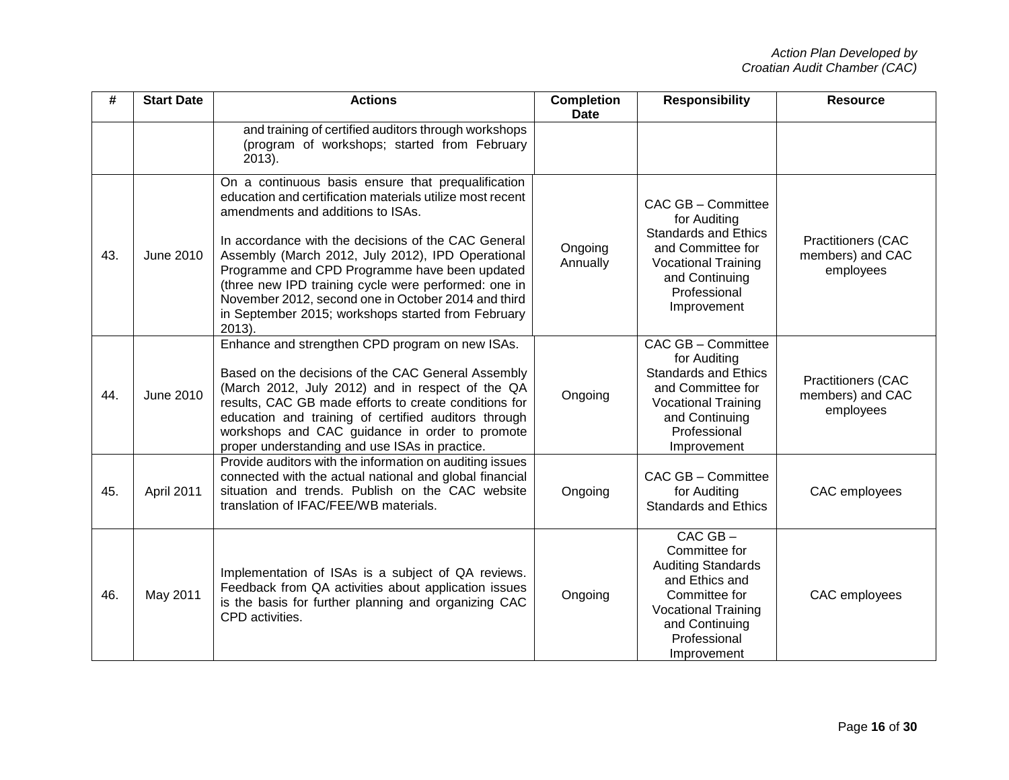| #   | <b>Start Date</b> | <b>Actions</b>                                                                                                                                                                                                                                                                                                                                                                                                                                                                                      | <b>Completion</b><br><b>Date</b> | <b>Responsibility</b>                                                                                                                                                        | <b>Resource</b>                                            |
|-----|-------------------|-----------------------------------------------------------------------------------------------------------------------------------------------------------------------------------------------------------------------------------------------------------------------------------------------------------------------------------------------------------------------------------------------------------------------------------------------------------------------------------------------------|----------------------------------|------------------------------------------------------------------------------------------------------------------------------------------------------------------------------|------------------------------------------------------------|
|     |                   | and training of certified auditors through workshops<br>(program of workshops; started from February<br>$2013$ ).                                                                                                                                                                                                                                                                                                                                                                                   |                                  |                                                                                                                                                                              |                                                            |
| 43. | <b>June 2010</b>  | On a continuous basis ensure that prequalification<br>education and certification materials utilize most recent<br>amendments and additions to ISAs.<br>In accordance with the decisions of the CAC General<br>Assembly (March 2012, July 2012), IPD Operational<br>Programme and CPD Programme have been updated<br>(three new IPD training cycle were performed: one in<br>November 2012, second one in October 2014 and third<br>in September 2015; workshops started from February<br>$2013$ ). | Ongoing<br>Annually              | CAC GB - Committee<br>for Auditing<br><b>Standards and Ethics</b><br>and Committee for<br><b>Vocational Training</b><br>and Continuing<br>Professional<br>Improvement        | <b>Practitioners (CAC</b><br>members) and CAC<br>employees |
| 44. | June 2010         | Enhance and strengthen CPD program on new ISAs.<br>Based on the decisions of the CAC General Assembly<br>(March 2012, July 2012) and in respect of the QA<br>results, CAC GB made efforts to create conditions for<br>education and training of certified auditors through<br>workshops and CAC guidance in order to promote<br>proper understanding and use ISAs in practice.                                                                                                                      | Ongoing                          | CAC GB - Committee<br>for Auditing<br><b>Standards and Ethics</b><br>and Committee for<br><b>Vocational Training</b><br>and Continuing<br>Professional<br>Improvement        | <b>Practitioners (CAC</b><br>members) and CAC<br>employees |
| 45. | April 2011        | Provide auditors with the information on auditing issues<br>connected with the actual national and global financial<br>situation and trends. Publish on the CAC website<br>translation of IFAC/FEE/WB materials.                                                                                                                                                                                                                                                                                    | Ongoing                          | CAC GB - Committee<br>for Auditing<br><b>Standards and Ethics</b>                                                                                                            | CAC employees                                              |
| 46. | May 2011          | Implementation of ISAs is a subject of QA reviews.<br>Feedback from QA activities about application issues<br>is the basis for further planning and organizing CAC<br>CPD activities.                                                                                                                                                                                                                                                                                                               | Ongoing                          | $CAC$ $GB -$<br>Committee for<br><b>Auditing Standards</b><br>and Ethics and<br>Committee for<br><b>Vocational Training</b><br>and Continuing<br>Professional<br>Improvement | CAC employees                                              |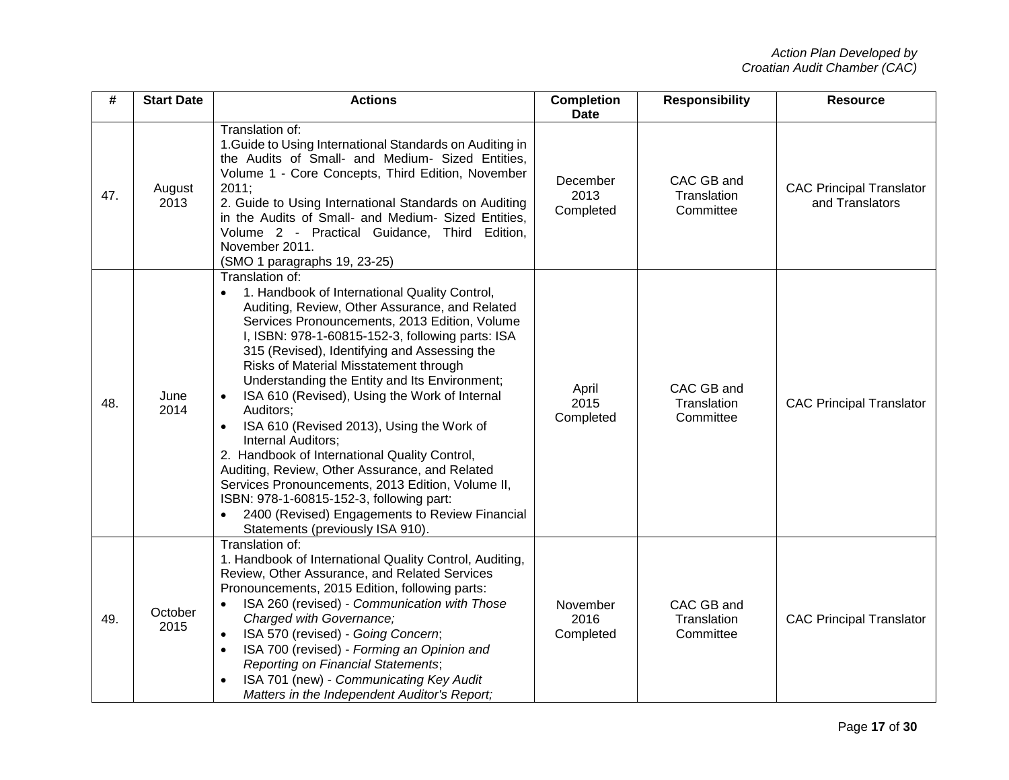| #   | <b>Start Date</b> | <b>Actions</b>                                                                                                                                                                                                                                                                                                                                                                                                                                                                                                                                                                                                                                                                                                                                                                                | <b>Completion</b><br><b>Date</b> | <b>Responsibility</b>                  | <b>Resource</b>                                    |
|-----|-------------------|-----------------------------------------------------------------------------------------------------------------------------------------------------------------------------------------------------------------------------------------------------------------------------------------------------------------------------------------------------------------------------------------------------------------------------------------------------------------------------------------------------------------------------------------------------------------------------------------------------------------------------------------------------------------------------------------------------------------------------------------------------------------------------------------------|----------------------------------|----------------------------------------|----------------------------------------------------|
| 47. | August<br>2013    | Translation of:<br>1. Guide to Using International Standards on Auditing in<br>the Audits of Small- and Medium- Sized Entities,<br>Volume 1 - Core Concepts, Third Edition, November<br>2011;<br>2. Guide to Using International Standards on Auditing<br>in the Audits of Small- and Medium- Sized Entities,<br>Volume 2 - Practical Guidance, Third Edition,<br>November 2011.<br>(SMO 1 paragraphs 19, 23-25)                                                                                                                                                                                                                                                                                                                                                                              | December<br>2013<br>Completed    | CAC GB and<br>Translation<br>Committee | <b>CAC Principal Translator</b><br>and Translators |
| 48. | June<br>2014      | Translation of:<br>1. Handbook of International Quality Control,<br>Auditing, Review, Other Assurance, and Related<br>Services Pronouncements, 2013 Edition, Volume<br>I, ISBN: 978-1-60815-152-3, following parts: ISA<br>315 (Revised), Identifying and Assessing the<br>Risks of Material Misstatement through<br>Understanding the Entity and Its Environment;<br>ISA 610 (Revised), Using the Work of Internal<br>Auditors;<br>ISA 610 (Revised 2013), Using the Work of<br>Internal Auditors;<br>2. Handbook of International Quality Control,<br>Auditing, Review, Other Assurance, and Related<br>Services Pronouncements, 2013 Edition, Volume II,<br>ISBN: 978-1-60815-152-3, following part:<br>2400 (Revised) Engagements to Review Financial<br>Statements (previously ISA 910). | April<br>2015<br>Completed       | CAC GB and<br>Translation<br>Committee | <b>CAC Principal Translator</b>                    |
| 49. | October<br>2015   | Translation of:<br>1. Handbook of International Quality Control, Auditing,<br>Review, Other Assurance, and Related Services<br>Pronouncements, 2015 Edition, following parts:<br>ISA 260 (revised) - Communication with Those<br>Charged with Governance;<br>ISA 570 (revised) - Going Concern;<br>ISA 700 (revised) - Forming an Opinion and<br>$\bullet$<br><b>Reporting on Financial Statements;</b><br>ISA 701 (new) - Communicating Key Audit<br>Matters in the Independent Auditor's Report;                                                                                                                                                                                                                                                                                            | November<br>2016<br>Completed    | CAC GB and<br>Translation<br>Committee | <b>CAC Principal Translator</b>                    |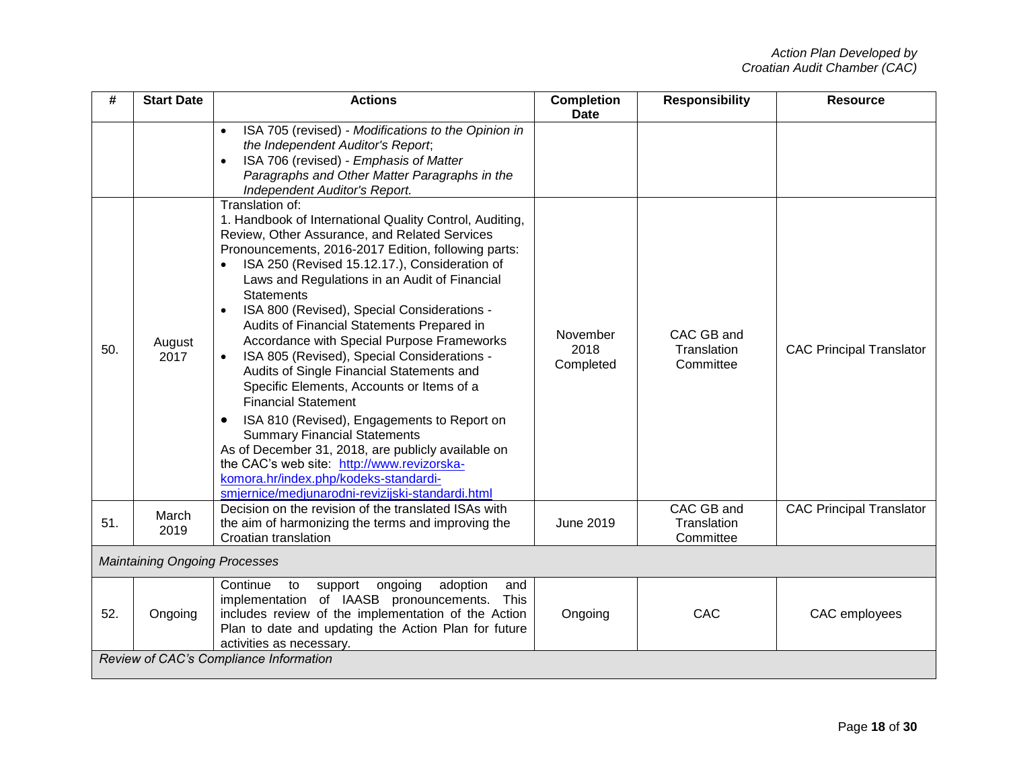| #   | <b>Start Date</b>                    | <b>Actions</b>                                                                                                                                                                                                                                                                                                                                                                                                                                                                                                                                                                                                                                                                                                                                                                                                                                                                                                                                            | <b>Completion</b><br><b>Date</b> | <b>Responsibility</b>                  | <b>Resource</b>                 |
|-----|--------------------------------------|-----------------------------------------------------------------------------------------------------------------------------------------------------------------------------------------------------------------------------------------------------------------------------------------------------------------------------------------------------------------------------------------------------------------------------------------------------------------------------------------------------------------------------------------------------------------------------------------------------------------------------------------------------------------------------------------------------------------------------------------------------------------------------------------------------------------------------------------------------------------------------------------------------------------------------------------------------------|----------------------------------|----------------------------------------|---------------------------------|
|     |                                      | ISA 705 (revised) - Modifications to the Opinion in<br>$\bullet$<br>the Independent Auditor's Report;<br>ISA 706 (revised) - Emphasis of Matter<br>$\bullet$<br>Paragraphs and Other Matter Paragraphs in the<br>Independent Auditor's Report.                                                                                                                                                                                                                                                                                                                                                                                                                                                                                                                                                                                                                                                                                                            |                                  |                                        |                                 |
| 50. | August<br>2017                       | Translation of:<br>1. Handbook of International Quality Control, Auditing,<br>Review, Other Assurance, and Related Services<br>Pronouncements, 2016-2017 Edition, following parts:<br>ISA 250 (Revised 15.12.17.), Consideration of<br>$\bullet$<br>Laws and Regulations in an Audit of Financial<br><b>Statements</b><br>ISA 800 (Revised), Special Considerations -<br>$\bullet$<br>Audits of Financial Statements Prepared in<br>Accordance with Special Purpose Frameworks<br>ISA 805 (Revised), Special Considerations -<br>$\bullet$<br>Audits of Single Financial Statements and<br>Specific Elements, Accounts or Items of a<br><b>Financial Statement</b><br>ISA 810 (Revised), Engagements to Report on<br><b>Summary Financial Statements</b><br>As of December 31, 2018, are publicly available on<br>the CAC's web site: http://www.revizorska-<br>komora.hr/index.php/kodeks-standardi-<br>smjernice/medjunarodni-revizijski-standardi.html | November<br>2018<br>Completed    | CAC GB and<br>Translation<br>Committee | <b>CAC Principal Translator</b> |
| 51. | March<br>2019                        | Decision on the revision of the translated ISAs with<br>the aim of harmonizing the terms and improving the<br>Croatian translation                                                                                                                                                                                                                                                                                                                                                                                                                                                                                                                                                                                                                                                                                                                                                                                                                        | <b>June 2019</b>                 | CAC GB and<br>Translation<br>Committee | <b>CAC Principal Translator</b> |
|     | <b>Maintaining Ongoing Processes</b> |                                                                                                                                                                                                                                                                                                                                                                                                                                                                                                                                                                                                                                                                                                                                                                                                                                                                                                                                                           |                                  |                                        |                                 |
| 52. | Ongoing                              | ongoing<br>adoption<br>Continue<br>to<br>support<br>and<br>implementation of IAASB pronouncements.<br>This<br>includes review of the implementation of the Action<br>Plan to date and updating the Action Plan for future<br>activities as necessary.                                                                                                                                                                                                                                                                                                                                                                                                                                                                                                                                                                                                                                                                                                     | Ongoing                          | CAC                                    | CAC employees                   |
|     |                                      | Review of CAC's Compliance Information                                                                                                                                                                                                                                                                                                                                                                                                                                                                                                                                                                                                                                                                                                                                                                                                                                                                                                                    |                                  |                                        |                                 |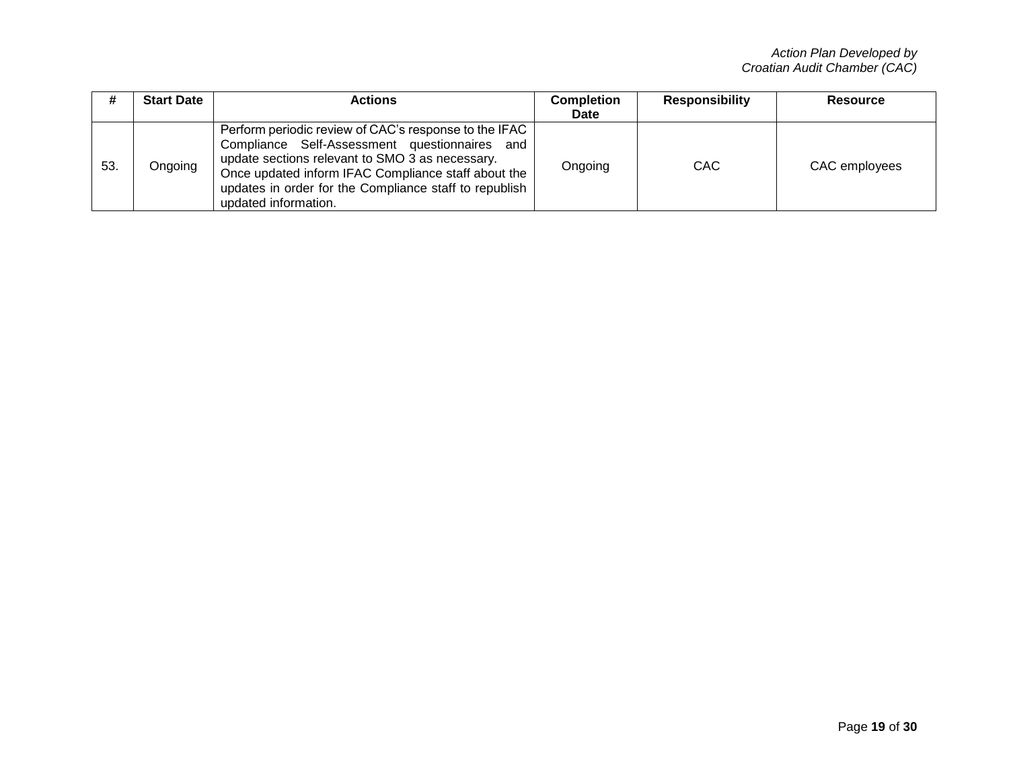|     | <b>Start Date</b> | Actions                                                                                                                                                                                                                                                                                              | <b>Completion</b> | <b>Responsibility</b> | Resource      |
|-----|-------------------|------------------------------------------------------------------------------------------------------------------------------------------------------------------------------------------------------------------------------------------------------------------------------------------------------|-------------------|-----------------------|---------------|
|     |                   |                                                                                                                                                                                                                                                                                                      | <b>Date</b>       |                       |               |
| 53. | Ongoing           | Perform periodic review of CAC's response to the IFAC  <br>Compliance Self-Assessment questionnaires and<br>update sections relevant to SMO 3 as necessary.<br>Once updated inform IFAC Compliance staff about the<br>updates in order for the Compliance staff to republish<br>updated information. | Ongoing           | CAC                   | CAC employees |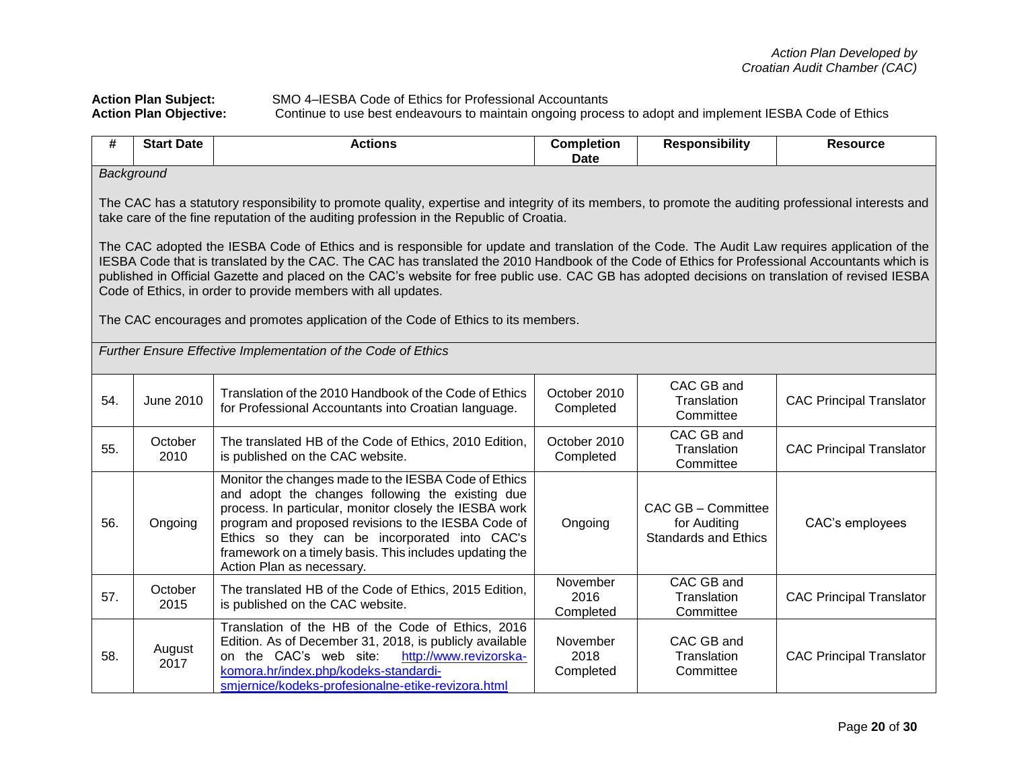Action Plan Subject: SMO 4–IESBA Code of Ethics for Professional Accountants<br>Action Plan Objective: Continue to use best endeavours to maintain ongoing proce Continue to use best endeavours to maintain ongoing process to adopt and implement IESBA Code of Ethics

| #   | <b>Start Date</b>                                                                                                                                                                                                                                                                                                                                                                                                                                                                                                                                   | <b>Actions</b>                                                                                                                                                                                                                                                                                                                                                     | <b>Completion</b><br><b>Date</b> | <b>Responsibility</b>                                             | <b>Resource</b>                 |  |  |  |
|-----|-----------------------------------------------------------------------------------------------------------------------------------------------------------------------------------------------------------------------------------------------------------------------------------------------------------------------------------------------------------------------------------------------------------------------------------------------------------------------------------------------------------------------------------------------------|--------------------------------------------------------------------------------------------------------------------------------------------------------------------------------------------------------------------------------------------------------------------------------------------------------------------------------------------------------------------|----------------------------------|-------------------------------------------------------------------|---------------------------------|--|--|--|
|     | Background                                                                                                                                                                                                                                                                                                                                                                                                                                                                                                                                          |                                                                                                                                                                                                                                                                                                                                                                    |                                  |                                                                   |                                 |  |  |  |
|     | The CAC has a statutory responsibility to promote quality, expertise and integrity of its members, to promote the auditing professional interests and<br>take care of the fine reputation of the auditing profession in the Republic of Croatia.<br>The CAC adopted the IESBA Code of Ethics and is responsible for update and translation of the Code. The Audit Law requires application of the<br>IESBA Code that is translated by the CAC. The CAC has translated the 2010 Handbook of the Code of Ethics for Professional Accountants which is |                                                                                                                                                                                                                                                                                                                                                                    |                                  |                                                                   |                                 |  |  |  |
|     |                                                                                                                                                                                                                                                                                                                                                                                                                                                                                                                                                     | published in Official Gazette and placed on the CAC's website for free public use. CAC GB has adopted decisions on translation of revised IESBA<br>Code of Ethics, in order to provide members with all updates.                                                                                                                                                   |                                  |                                                                   |                                 |  |  |  |
|     |                                                                                                                                                                                                                                                                                                                                                                                                                                                                                                                                                     | The CAC encourages and promotes application of the Code of Ethics to its members.                                                                                                                                                                                                                                                                                  |                                  |                                                                   |                                 |  |  |  |
|     |                                                                                                                                                                                                                                                                                                                                                                                                                                                                                                                                                     | Further Ensure Effective Implementation of the Code of Ethics                                                                                                                                                                                                                                                                                                      |                                  |                                                                   |                                 |  |  |  |
| 54. | <b>June 2010</b>                                                                                                                                                                                                                                                                                                                                                                                                                                                                                                                                    | Translation of the 2010 Handbook of the Code of Ethics<br>for Professional Accountants into Croatian language.                                                                                                                                                                                                                                                     | October 2010<br>Completed        | CAC GB and<br>Translation<br>Committee                            | <b>CAC Principal Translator</b> |  |  |  |
| 55. | October<br>2010                                                                                                                                                                                                                                                                                                                                                                                                                                                                                                                                     | The translated HB of the Code of Ethics, 2010 Edition,<br>is published on the CAC website.                                                                                                                                                                                                                                                                         | October 2010<br>Completed        | CAC GB and<br>Translation<br>Committee                            | <b>CAC Principal Translator</b> |  |  |  |
| 56. | Ongoing                                                                                                                                                                                                                                                                                                                                                                                                                                                                                                                                             | Monitor the changes made to the IESBA Code of Ethics<br>and adopt the changes following the existing due<br>process. In particular, monitor closely the IESBA work<br>program and proposed revisions to the IESBA Code of<br>Ethics so they can be incorporated into CAC's<br>framework on a timely basis. This includes updating the<br>Action Plan as necessary. | Ongoing                          | CAC GB - Committee<br>for Auditing<br><b>Standards and Ethics</b> | CAC's employees                 |  |  |  |
| 57. | October<br>2015                                                                                                                                                                                                                                                                                                                                                                                                                                                                                                                                     | The translated HB of the Code of Ethics, 2015 Edition,<br>is published on the CAC website.                                                                                                                                                                                                                                                                         | November<br>2016<br>Completed    | CAC GB and<br>Translation<br>Committee                            | <b>CAC Principal Translator</b> |  |  |  |
| 58. | August<br>2017                                                                                                                                                                                                                                                                                                                                                                                                                                                                                                                                      | Translation of the HB of the Code of Ethics, 2016<br>Edition. As of December 31, 2018, is publicly available<br>on the CAC's web site:<br>http://www.revizorska-<br>komora.hr/index.php/kodeks-standardi-<br>smjernice/kodeks-profesionalne-etike-revizora.html                                                                                                    | November<br>2018<br>Completed    | CAC GB and<br>Translation<br>Committee                            | <b>CAC Principal Translator</b> |  |  |  |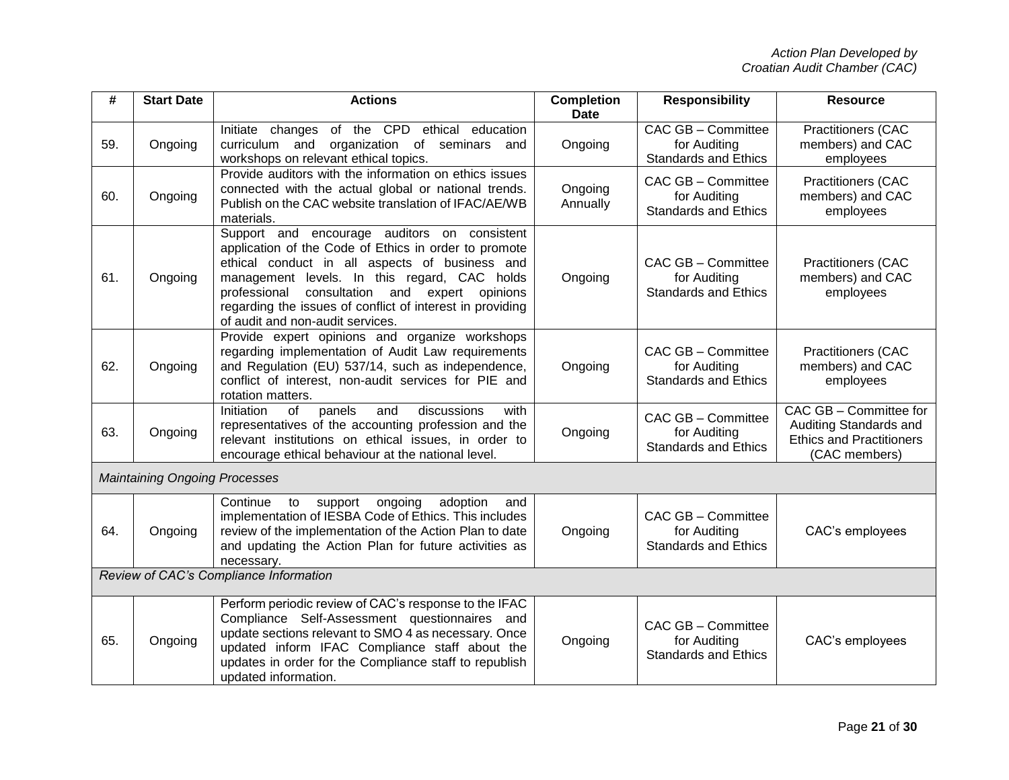| #   | <b>Start Date</b>                    | <b>Actions</b>                                                                                                                                                                                                                                                                                                                                               | <b>Completion</b><br><b>Date</b> | <b>Responsibility</b>                                                    | <b>Resource</b>                                                                                      |
|-----|--------------------------------------|--------------------------------------------------------------------------------------------------------------------------------------------------------------------------------------------------------------------------------------------------------------------------------------------------------------------------------------------------------------|----------------------------------|--------------------------------------------------------------------------|------------------------------------------------------------------------------------------------------|
| 59. | Ongoing                              | Initiate changes of the CPD ethical education<br>curriculum and organization of seminars<br>and<br>workshops on relevant ethical topics.                                                                                                                                                                                                                     | Ongoing                          | <b>CAC GB - Committee</b><br>for Auditing<br><b>Standards and Ethics</b> | Practitioners (CAC<br>members) and CAC<br>employees                                                  |
| 60. | Ongoing                              | Provide auditors with the information on ethics issues<br>connected with the actual global or national trends.<br>Publish on the CAC website translation of IFAC/AE/WB<br>materials.                                                                                                                                                                         | Ongoing<br>Annually              | CAC GB - Committee<br>for Auditing<br><b>Standards and Ethics</b>        | <b>Practitioners (CAC</b><br>members) and CAC<br>employees                                           |
| 61. | Ongoing                              | Support and encourage auditors on consistent<br>application of the Code of Ethics in order to promote<br>ethical conduct in all aspects of business and<br>management levels. In this regard, CAC holds<br>consultation and expert opinions<br>professional<br>regarding the issues of conflict of interest in providing<br>of audit and non-audit services. | Ongoing                          | CAC GB - Committee<br>for Auditing<br><b>Standards and Ethics</b>        | <b>Practitioners (CAC</b><br>members) and CAC<br>employees                                           |
| 62. | Ongoing                              | Provide expert opinions and organize workshops<br>regarding implementation of Audit Law requirements<br>and Regulation (EU) 537/14, such as independence,<br>conflict of interest, non-audit services for PIE and<br>rotation matters.                                                                                                                       | Ongoing                          | CAC GB - Committee<br>for Auditing<br><b>Standards and Ethics</b>        | <b>Practitioners (CAC</b><br>members) and CAC<br>employees                                           |
| 63. | Ongoing                              | Initiation<br>of<br>panels<br>discussions<br>with<br>and<br>representatives of the accounting profession and the<br>relevant institutions on ethical issues, in order to<br>encourage ethical behaviour at the national level.                                                                                                                               | Ongoing                          | CAC GB - Committee<br>for Auditing<br><b>Standards and Ethics</b>        | CAC GB - Committee for<br>Auditing Standards and<br><b>Ethics and Practitioners</b><br>(CAC members) |
|     | <b>Maintaining Ongoing Processes</b> |                                                                                                                                                                                                                                                                                                                                                              |                                  |                                                                          |                                                                                                      |
| 64. | Ongoing                              | Continue<br>ongoing<br>adoption<br>to<br>support<br>and<br>implementation of IESBA Code of Ethics. This includes<br>review of the implementation of the Action Plan to date<br>and updating the Action Plan for future activities as<br>necessary.                                                                                                           | Ongoing                          | CAC GB - Committee<br>for Auditing<br><b>Standards and Ethics</b>        | CAC's employees                                                                                      |
|     |                                      | Review of CAC's Compliance Information                                                                                                                                                                                                                                                                                                                       |                                  |                                                                          |                                                                                                      |
| 65. | Ongoing                              | Perform periodic review of CAC's response to the IFAC<br>Compliance Self-Assessment questionnaires and<br>update sections relevant to SMO 4 as necessary. Once<br>updated inform IFAC Compliance staff about the<br>updates in order for the Compliance staff to republish<br>updated information.                                                           | Ongoing                          | CAC GB - Committee<br>for Auditing<br><b>Standards and Ethics</b>        | CAC's employees                                                                                      |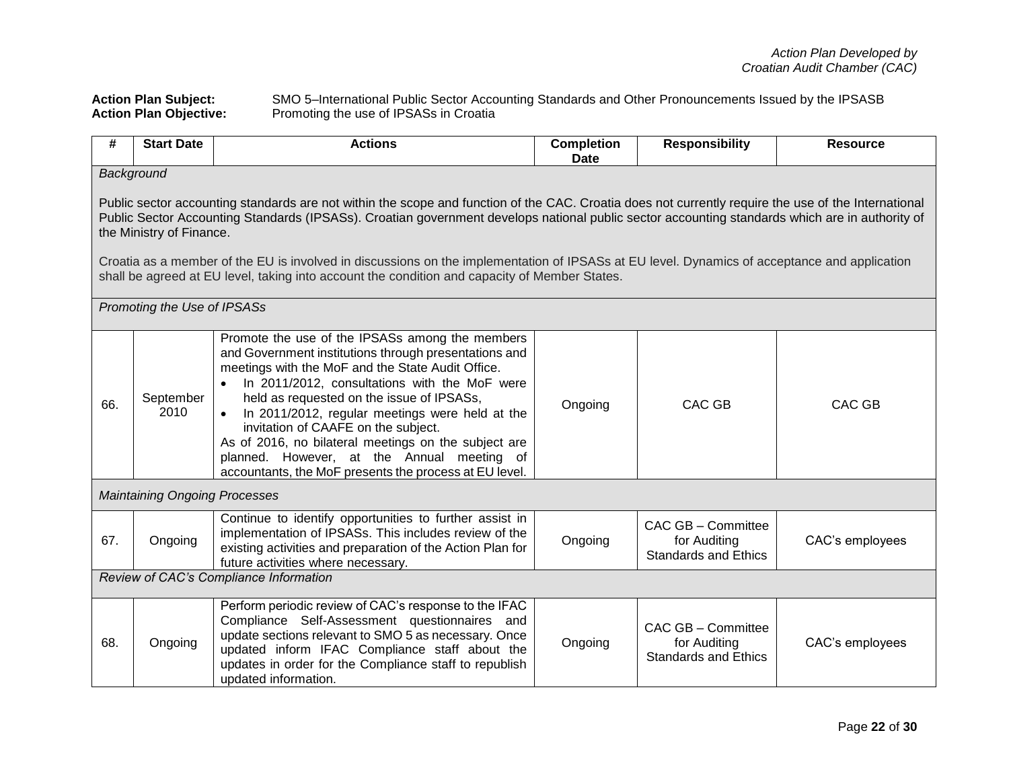**Action Plan Subject:** SMO 5–International Public Sector Accounting Standards and Other Pronouncements Issued by the IPSASB Action Plan Objective: Promoting the use of IPSASs in Croatia

| #   | <b>Start Date</b>                                                                                                                                                                                                                                                                                                                                                                                                                                                                                                                                                                                                   | <b>Actions</b>                                                                                                                                                                                                                                                                                                                                                                                                                                                                                                          | <b>Completion</b><br><b>Date</b> | <b>Responsibility</b>                                             | <b>Resource</b> |  |  |  |
|-----|---------------------------------------------------------------------------------------------------------------------------------------------------------------------------------------------------------------------------------------------------------------------------------------------------------------------------------------------------------------------------------------------------------------------------------------------------------------------------------------------------------------------------------------------------------------------------------------------------------------------|-------------------------------------------------------------------------------------------------------------------------------------------------------------------------------------------------------------------------------------------------------------------------------------------------------------------------------------------------------------------------------------------------------------------------------------------------------------------------------------------------------------------------|----------------------------------|-------------------------------------------------------------------|-----------------|--|--|--|
|     | Background                                                                                                                                                                                                                                                                                                                                                                                                                                                                                                                                                                                                          |                                                                                                                                                                                                                                                                                                                                                                                                                                                                                                                         |                                  |                                                                   |                 |  |  |  |
|     | Public sector accounting standards are not within the scope and function of the CAC. Croatia does not currently require the use of the International<br>Public Sector Accounting Standards (IPSASs). Croatian government develops national public sector accounting standards which are in authority of<br>the Ministry of Finance.<br>Croatia as a member of the EU is involved in discussions on the implementation of IPSASs at EU level. Dynamics of acceptance and application<br>shall be agreed at EU level, taking into account the condition and capacity of Member States.<br>Promoting the Use of IPSASs |                                                                                                                                                                                                                                                                                                                                                                                                                                                                                                                         |                                  |                                                                   |                 |  |  |  |
|     |                                                                                                                                                                                                                                                                                                                                                                                                                                                                                                                                                                                                                     |                                                                                                                                                                                                                                                                                                                                                                                                                                                                                                                         |                                  |                                                                   |                 |  |  |  |
| 66. | September<br>2010                                                                                                                                                                                                                                                                                                                                                                                                                                                                                                                                                                                                   | Promote the use of the IPSASs among the members<br>and Government institutions through presentations and<br>meetings with the MoF and the State Audit Office.<br>• In 2011/2012, consultations with the MoF were<br>held as requested on the issue of IPSASs,<br>In 2011/2012, regular meetings were held at the<br>invitation of CAAFE on the subject.<br>As of 2016, no bilateral meetings on the subject are<br>planned. However, at the Annual meeting of<br>accountants, the MoF presents the process at EU level. | Ongoing                          | CAC GB                                                            | <b>CAC GB</b>   |  |  |  |
|     | <b>Maintaining Ongoing Processes</b>                                                                                                                                                                                                                                                                                                                                                                                                                                                                                                                                                                                |                                                                                                                                                                                                                                                                                                                                                                                                                                                                                                                         |                                  |                                                                   |                 |  |  |  |
| 67. | Ongoing                                                                                                                                                                                                                                                                                                                                                                                                                                                                                                                                                                                                             | Continue to identify opportunities to further assist in<br>implementation of IPSASs. This includes review of the<br>existing activities and preparation of the Action Plan for<br>future activities where necessary.                                                                                                                                                                                                                                                                                                    | Ongoing                          | CAC GB - Committee<br>for Auditing<br><b>Standards and Ethics</b> | CAC's employees |  |  |  |
|     | Review of CAC's Compliance Information                                                                                                                                                                                                                                                                                                                                                                                                                                                                                                                                                                              |                                                                                                                                                                                                                                                                                                                                                                                                                                                                                                                         |                                  |                                                                   |                 |  |  |  |
| 68. | Ongoing                                                                                                                                                                                                                                                                                                                                                                                                                                                                                                                                                                                                             | Perform periodic review of CAC's response to the IFAC<br>Compliance Self-Assessment questionnaires and<br>update sections relevant to SMO 5 as necessary. Once<br>updated inform IFAC Compliance staff about the<br>updates in order for the Compliance staff to republish<br>updated information.                                                                                                                                                                                                                      | Ongoing                          | CAC GB - Committee<br>for Auditing<br><b>Standards and Ethics</b> | CAC's employees |  |  |  |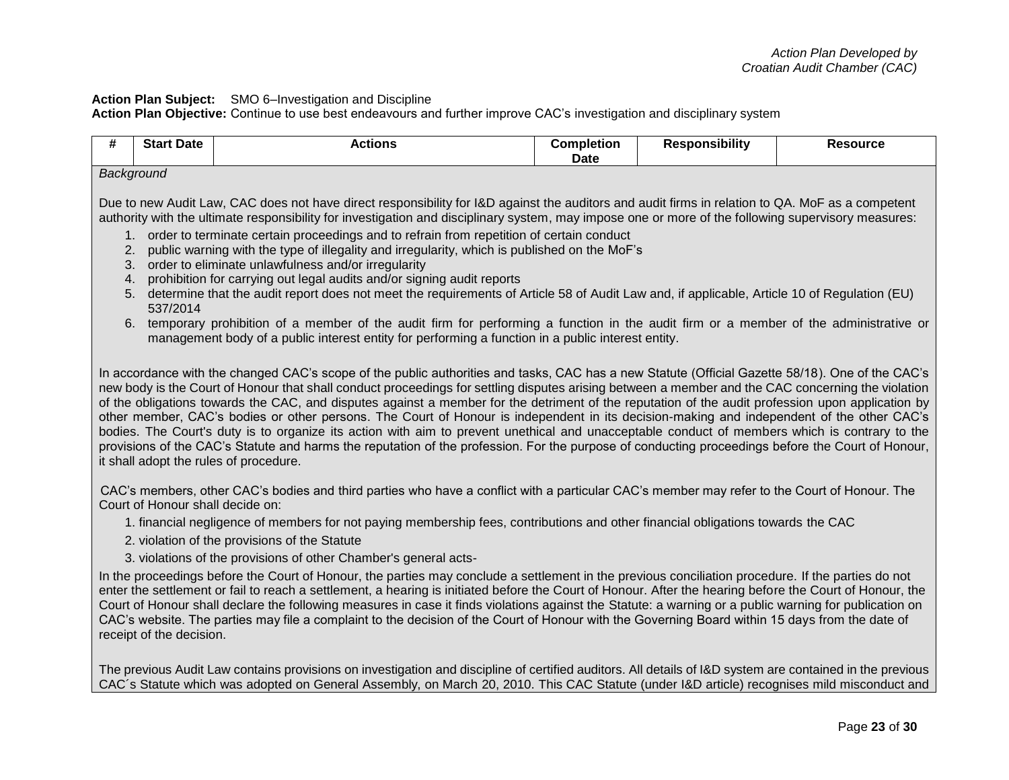## **Action Plan Subject:** SMO 6–Investigation and Discipline

**Action Plan Objective:** Continue to use best endeavours and further improve CAC's investigation and disciplinary system

| # | <b>Start Date</b>                                                                                                                                                                                                                                                                                                                                                                                                                                                                                                                                                                                                                                                                                                                                                                                                                                                                                                                                                                                                                                                                   | <b>Actions</b>                                                                                                                                                                                                                                                                                                                                                                                                                                                                                                                                                                                                              | <b>Completion</b><br><b>Date</b> | <b>Responsibility</b> | <b>Resource</b> |  |
|---|-------------------------------------------------------------------------------------------------------------------------------------------------------------------------------------------------------------------------------------------------------------------------------------------------------------------------------------------------------------------------------------------------------------------------------------------------------------------------------------------------------------------------------------------------------------------------------------------------------------------------------------------------------------------------------------------------------------------------------------------------------------------------------------------------------------------------------------------------------------------------------------------------------------------------------------------------------------------------------------------------------------------------------------------------------------------------------------|-----------------------------------------------------------------------------------------------------------------------------------------------------------------------------------------------------------------------------------------------------------------------------------------------------------------------------------------------------------------------------------------------------------------------------------------------------------------------------------------------------------------------------------------------------------------------------------------------------------------------------|----------------------------------|-----------------------|-----------------|--|
|   |                                                                                                                                                                                                                                                                                                                                                                                                                                                                                                                                                                                                                                                                                                                                                                                                                                                                                                                                                                                                                                                                                     |                                                                                                                                                                                                                                                                                                                                                                                                                                                                                                                                                                                                                             |                                  |                       |                 |  |
|   | Background<br>Due to new Audit Law, CAC does not have direct responsibility for I&D against the auditors and audit firms in relation to QA. MoF as a competent<br>authority with the ultimate responsibility for investigation and disciplinary system, may impose one or more of the following supervisory measures:<br>order to terminate certain proceedings and to refrain from repetition of certain conduct<br>public warning with the type of illegality and irregularity, which is published on the MoF's<br>2.<br>order to eliminate unlawfulness and/or irregularity<br>3.<br>prohibition for carrying out legal audits and/or signing audit reports<br>4.<br>5. determine that the audit report does not meet the requirements of Article 58 of Audit Law and, if applicable, Article 10 of Regulation (EU)<br>537/2014<br>6. temporary prohibition of a member of the audit firm for performing a function in the audit firm or a member of the administrative or<br>management body of a public interest entity for performing a function in a public interest entity. |                                                                                                                                                                                                                                                                                                                                                                                                                                                                                                                                                                                                                             |                                  |                       |                 |  |
|   | In accordance with the changed CAC's scope of the public authorities and tasks, CAC has a new Statute (Official Gazette 58/18). One of the CAC's<br>new body is the Court of Honour that shall conduct proceedings for settling disputes arising between a member and the CAC concerning the violation<br>of the obligations towards the CAC, and disputes against a member for the detriment of the reputation of the audit profession upon application by<br>other member, CAC's bodies or other persons. The Court of Honour is independent in its decision-making and independent of the other CAC's<br>bodies. The Court's duty is to organize its action with aim to prevent unethical and unacceptable conduct of members which is contrary to the<br>provisions of the CAC's Statute and harms the reputation of the profession. For the purpose of conducting proceedings before the Court of Honour,<br>it shall adopt the rules of procedure.                                                                                                                            |                                                                                                                                                                                                                                                                                                                                                                                                                                                                                                                                                                                                                             |                                  |                       |                 |  |
|   | Court of Honour shall decide on:                                                                                                                                                                                                                                                                                                                                                                                                                                                                                                                                                                                                                                                                                                                                                                                                                                                                                                                                                                                                                                                    | CAC's members, other CAC's bodies and third parties who have a conflict with a particular CAC's member may refer to the Court of Honour. The                                                                                                                                                                                                                                                                                                                                                                                                                                                                                |                                  |                       |                 |  |
|   |                                                                                                                                                                                                                                                                                                                                                                                                                                                                                                                                                                                                                                                                                                                                                                                                                                                                                                                                                                                                                                                                                     | 1. financial negligence of members for not paying membership fees, contributions and other financial obligations towards the CAC<br>2. violation of the provisions of the Statute<br>3. violations of the provisions of other Chamber's general acts-                                                                                                                                                                                                                                                                                                                                                                       |                                  |                       |                 |  |
|   | receipt of the decision.                                                                                                                                                                                                                                                                                                                                                                                                                                                                                                                                                                                                                                                                                                                                                                                                                                                                                                                                                                                                                                                            | In the proceedings before the Court of Honour, the parties may conclude a settlement in the previous conciliation procedure. If the parties do not<br>enter the settlement or fail to reach a settlement, a hearing is initiated before the Court of Honour. After the hearing before the Court of Honour, the<br>Court of Honour shall declare the following measures in case it finds violations against the Statute: a warning or a public warning for publication on<br>CAC's website. The parties may file a complaint to the decision of the Court of Honour with the Governing Board within 15 days from the date of |                                  |                       |                 |  |
|   |                                                                                                                                                                                                                                                                                                                                                                                                                                                                                                                                                                                                                                                                                                                                                                                                                                                                                                                                                                                                                                                                                     | The previous Audit Law contains provisions on investigation and discipline of certified auditors. All details of I&D system are contained in the previous<br>CAC's Statute which was adopted on General Assembly, on March 20, 2010. This CAC Statute (under I&D article) recognises mild misconduct and                                                                                                                                                                                                                                                                                                                    |                                  |                       |                 |  |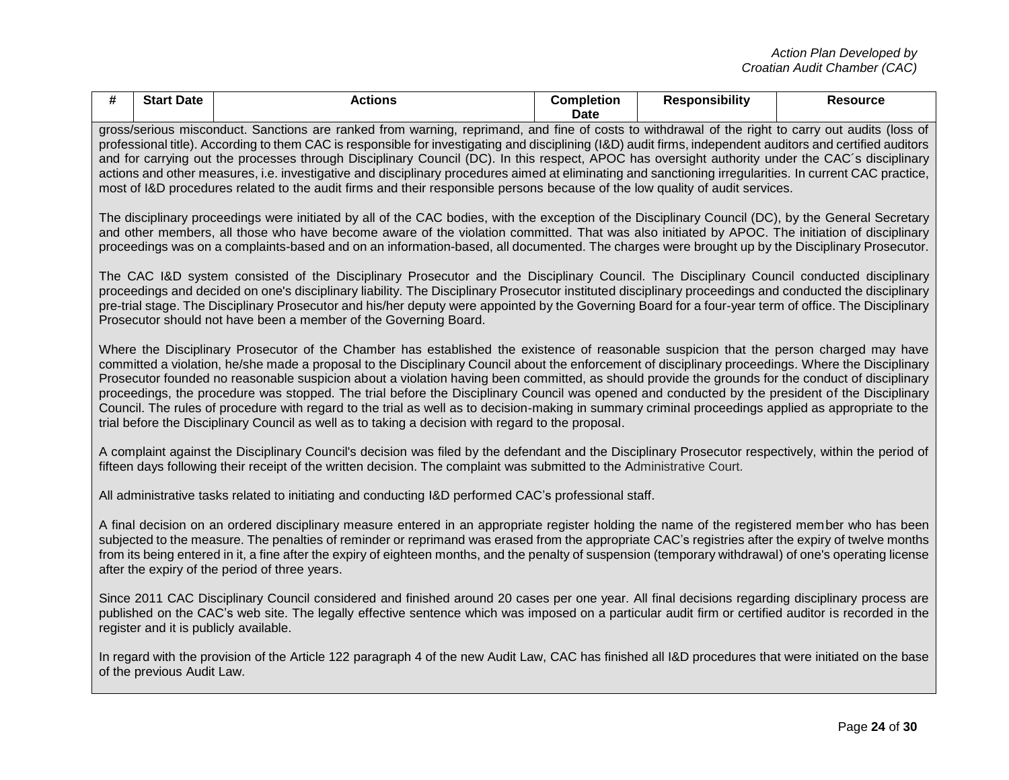| # | <b>Start Date</b>                                                                                                                                                                                                                                                                                                                                                                                                                                                                                                                                                                                                                                                                                                                                                 | <b>Actions</b>                                                                                                                                                                                                                                                                                                                                                                                                                                                                                                                                                                                                                                                                                                                                                                                                                                                       | <b>Completion</b><br><b>Date</b> | <b>Responsibility</b> | <b>Resource</b> |  |  |  |
|---|-------------------------------------------------------------------------------------------------------------------------------------------------------------------------------------------------------------------------------------------------------------------------------------------------------------------------------------------------------------------------------------------------------------------------------------------------------------------------------------------------------------------------------------------------------------------------------------------------------------------------------------------------------------------------------------------------------------------------------------------------------------------|----------------------------------------------------------------------------------------------------------------------------------------------------------------------------------------------------------------------------------------------------------------------------------------------------------------------------------------------------------------------------------------------------------------------------------------------------------------------------------------------------------------------------------------------------------------------------------------------------------------------------------------------------------------------------------------------------------------------------------------------------------------------------------------------------------------------------------------------------------------------|----------------------------------|-----------------------|-----------------|--|--|--|
|   | gross/serious misconduct. Sanctions are ranked from warning, reprimand, and fine of costs to withdrawal of the right to carry out audits (loss of<br>professional title). According to them CAC is responsible for investigating and disciplining (I&D) audit firms, independent auditors and certified auditors<br>and for carrying out the processes through Disciplinary Council (DC). In this respect, APOC has oversight authority under the CAC's disciplinary<br>actions and other measures, i.e. investigative and disciplinary procedures aimed at eliminating and sanctioning irregularities. In current CAC practice,<br>most of I&D procedures related to the audit firms and their responsible persons because of the low quality of audit services. |                                                                                                                                                                                                                                                                                                                                                                                                                                                                                                                                                                                                                                                                                                                                                                                                                                                                      |                                  |                       |                 |  |  |  |
|   |                                                                                                                                                                                                                                                                                                                                                                                                                                                                                                                                                                                                                                                                                                                                                                   | The disciplinary proceedings were initiated by all of the CAC bodies, with the exception of the Disciplinary Council (DC), by the General Secretary<br>and other members, all those who have become aware of the violation committed. That was also initiated by APOC. The initiation of disciplinary<br>proceedings was on a complaints-based and on an information-based, all documented. The charges were brought up by the Disciplinary Prosecutor.                                                                                                                                                                                                                                                                                                                                                                                                              |                                  |                       |                 |  |  |  |
|   |                                                                                                                                                                                                                                                                                                                                                                                                                                                                                                                                                                                                                                                                                                                                                                   | The CAC I&D system consisted of the Disciplinary Prosecutor and the Disciplinary Council. The Disciplinary Council conducted disciplinary<br>proceedings and decided on one's disciplinary liability. The Disciplinary Prosecutor instituted disciplinary proceedings and conducted the disciplinary<br>pre-trial stage. The Disciplinary Prosecutor and his/her deputy were appointed by the Governing Board for a four-year term of office. The Disciplinary<br>Prosecutor should not have been a member of the Governing Board.                                                                                                                                                                                                                                                                                                                                   |                                  |                       |                 |  |  |  |
|   |                                                                                                                                                                                                                                                                                                                                                                                                                                                                                                                                                                                                                                                                                                                                                                   | Where the Disciplinary Prosecutor of the Chamber has established the existence of reasonable suspicion that the person charged may have<br>committed a violation, he/she made a proposal to the Disciplinary Council about the enforcement of disciplinary proceedings. Where the Disciplinary<br>Prosecutor founded no reasonable suspicion about a violation having been committed, as should provide the grounds for the conduct of disciplinary<br>proceedings, the procedure was stopped. The trial before the Disciplinary Council was opened and conducted by the president of the Disciplinary<br>Council. The rules of procedure with regard to the trial as well as to decision-making in summary criminal proceedings applied as appropriate to the<br>trial before the Disciplinary Council as well as to taking a decision with regard to the proposal. |                                  |                       |                 |  |  |  |
|   |                                                                                                                                                                                                                                                                                                                                                                                                                                                                                                                                                                                                                                                                                                                                                                   | A complaint against the Disciplinary Council's decision was filed by the defendant and the Disciplinary Prosecutor respectively, within the period of<br>fifteen days following their receipt of the written decision. The complaint was submitted to the Administrative Court.                                                                                                                                                                                                                                                                                                                                                                                                                                                                                                                                                                                      |                                  |                       |                 |  |  |  |
|   |                                                                                                                                                                                                                                                                                                                                                                                                                                                                                                                                                                                                                                                                                                                                                                   | All administrative tasks related to initiating and conducting I&D performed CAC's professional staff.                                                                                                                                                                                                                                                                                                                                                                                                                                                                                                                                                                                                                                                                                                                                                                |                                  |                       |                 |  |  |  |
|   | A final decision on an ordered disciplinary measure entered in an appropriate register holding the name of the registered member who has been<br>subjected to the measure. The penalties of reminder or reprimand was erased from the appropriate CAC's registries after the expiry of twelve months<br>from its being entered in it, a fine after the expiry of eighteen months, and the penalty of suspension (temporary withdrawal) of one's operating license<br>after the expiry of the period of three years.                                                                                                                                                                                                                                               |                                                                                                                                                                                                                                                                                                                                                                                                                                                                                                                                                                                                                                                                                                                                                                                                                                                                      |                                  |                       |                 |  |  |  |
|   |                                                                                                                                                                                                                                                                                                                                                                                                                                                                                                                                                                                                                                                                                                                                                                   | Since 2011 CAC Disciplinary Council considered and finished around 20 cases per one year. All final decisions regarding disciplinary process are<br>published on the CAC's web site. The legally effective sentence which was imposed on a particular audit firm or certified auditor is recorded in the<br>register and it is publicly available.                                                                                                                                                                                                                                                                                                                                                                                                                                                                                                                   |                                  |                       |                 |  |  |  |
|   | of the previous Audit Law.                                                                                                                                                                                                                                                                                                                                                                                                                                                                                                                                                                                                                                                                                                                                        | In regard with the provision of the Article 122 paragraph 4 of the new Audit Law, CAC has finished all I&D procedures that were initiated on the base                                                                                                                                                                                                                                                                                                                                                                                                                                                                                                                                                                                                                                                                                                                |                                  |                       |                 |  |  |  |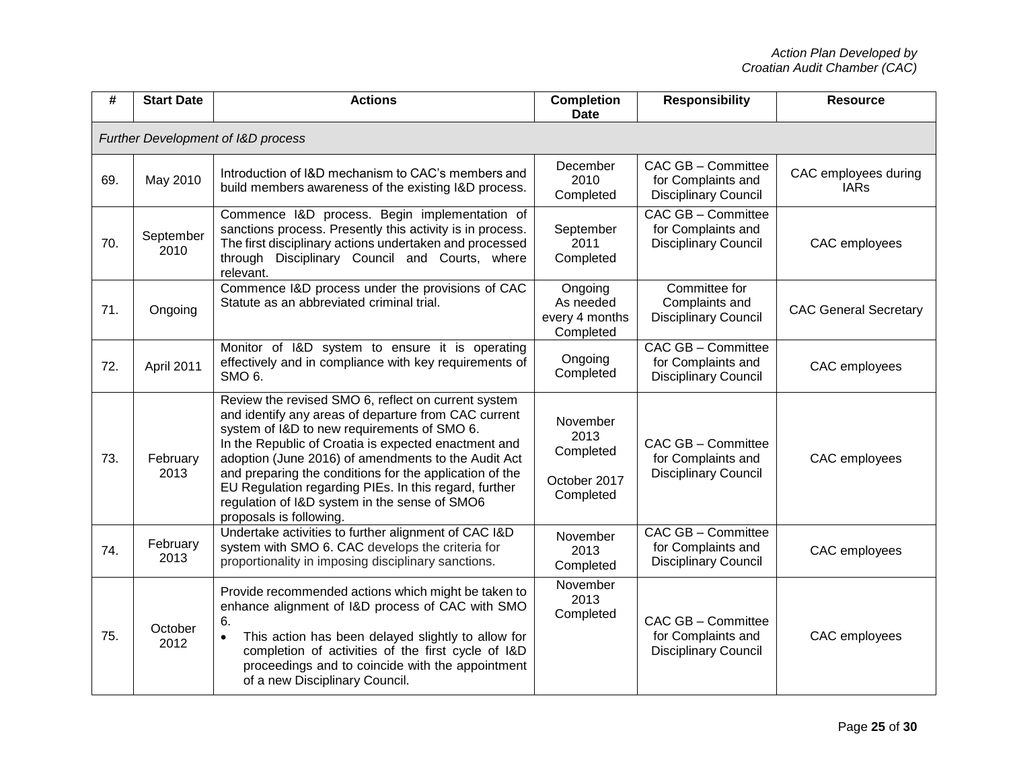| #   | <b>Start Date</b>                  | <b>Actions</b>                                                                                                                                                                                                                                                                                                                                                                                                                                                            | <b>Completion</b><br><b>Date</b>                           | <b>Responsibility</b>                                                          | <b>Resource</b>                     |  |  |
|-----|------------------------------------|---------------------------------------------------------------------------------------------------------------------------------------------------------------------------------------------------------------------------------------------------------------------------------------------------------------------------------------------------------------------------------------------------------------------------------------------------------------------------|------------------------------------------------------------|--------------------------------------------------------------------------------|-------------------------------------|--|--|
|     | Further Development of I&D process |                                                                                                                                                                                                                                                                                                                                                                                                                                                                           |                                                            |                                                                                |                                     |  |  |
| 69. | May 2010                           | Introduction of I&D mechanism to CAC's members and<br>build members awareness of the existing I&D process.                                                                                                                                                                                                                                                                                                                                                                | December<br>2010<br>Completed                              | CAC GB - Committee<br>for Complaints and<br><b>Disciplinary Council</b>        | CAC employees during<br><b>IARs</b> |  |  |
| 70. | September<br>2010                  | Commence I&D process. Begin implementation of<br>sanctions process. Presently this activity is in process.<br>The first disciplinary actions undertaken and processed<br>through Disciplinary Council and Courts, where<br>relevant.                                                                                                                                                                                                                                      | September<br>2011<br>Completed                             | <b>CAC GB - Committee</b><br>for Complaints and<br><b>Disciplinary Council</b> | CAC employees                       |  |  |
| 71. | Ongoing                            | Commence I&D process under the provisions of CAC<br>Statute as an abbreviated criminal trial.                                                                                                                                                                                                                                                                                                                                                                             | Ongoing<br>As needed<br>every 4 months<br>Completed        | Committee for<br>Complaints and<br><b>Disciplinary Council</b>                 | <b>CAC General Secretary</b>        |  |  |
| 72. | April 2011                         | Monitor of I&D system to ensure it is operating<br>effectively and in compliance with key requirements of<br>SMO <sub>6</sub> .                                                                                                                                                                                                                                                                                                                                           | Ongoing<br>Completed                                       | <b>CAC GB - Committee</b><br>for Complaints and<br><b>Disciplinary Council</b> | CAC employees                       |  |  |
| 73. | February<br>2013                   | Review the revised SMO 6, reflect on current system<br>and identify any areas of departure from CAC current<br>system of I&D to new requirements of SMO 6.<br>In the Republic of Croatia is expected enactment and<br>adoption (June 2016) of amendments to the Audit Act<br>and preparing the conditions for the application of the<br>EU Regulation regarding PIEs. In this regard, further<br>regulation of I&D system in the sense of SMO6<br>proposals is following. | November<br>2013<br>Completed<br>October 2017<br>Completed | CAC GB - Committee<br>for Complaints and<br><b>Disciplinary Council</b>        | CAC employees                       |  |  |
| 74. | February<br>2013                   | Undertake activities to further alignment of CAC I&D<br>system with SMO 6. CAC develops the criteria for<br>proportionality in imposing disciplinary sanctions.                                                                                                                                                                                                                                                                                                           | November<br>2013<br>Completed                              | CAC GB - Committee<br>for Complaints and<br><b>Disciplinary Council</b>        | CAC employees                       |  |  |
| 75. | October<br>2012                    | Provide recommended actions which might be taken to<br>enhance alignment of I&D process of CAC with SMO<br>6.<br>This action has been delayed slightly to allow for<br>completion of activities of the first cycle of I&D<br>proceedings and to coincide with the appointment<br>of a new Disciplinary Council.                                                                                                                                                           | November<br>2013<br>Completed                              | CAC GB - Committee<br>for Complaints and<br><b>Disciplinary Council</b>        | CAC employees                       |  |  |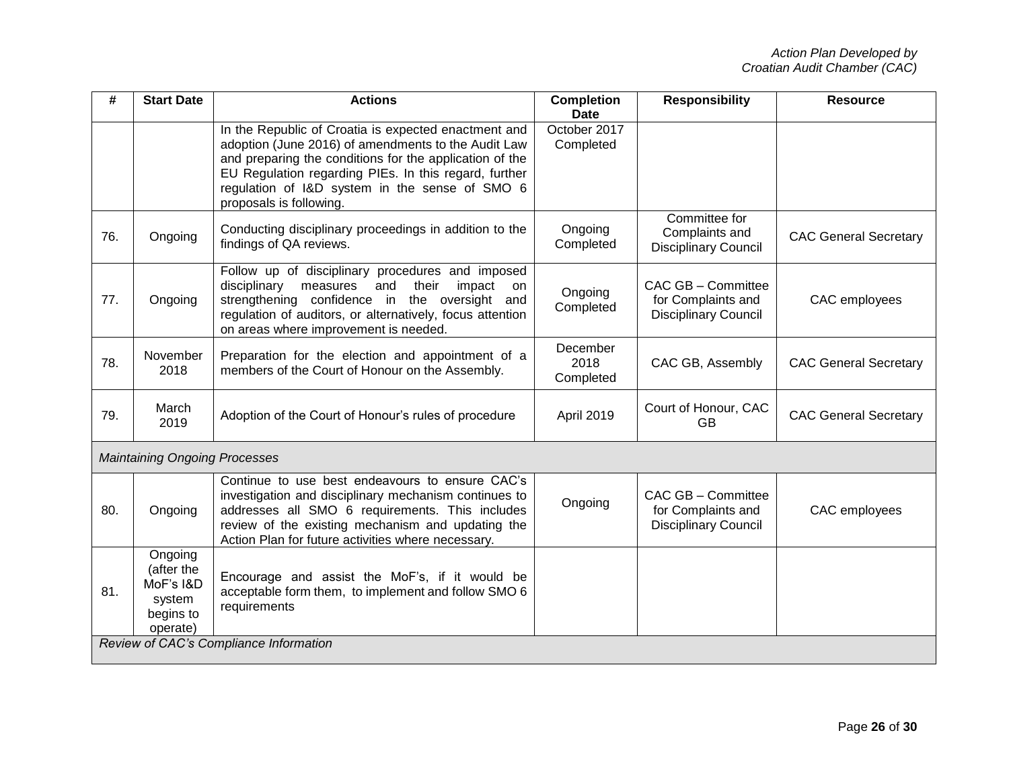| #   | <b>Start Date</b>                                                     | <b>Actions</b>                                                                                                                                                                                                                                                                                               | <b>Completion</b><br><b>Date</b> | <b>Responsibility</b>                                                   | <b>Resource</b>              |  |
|-----|-----------------------------------------------------------------------|--------------------------------------------------------------------------------------------------------------------------------------------------------------------------------------------------------------------------------------------------------------------------------------------------------------|----------------------------------|-------------------------------------------------------------------------|------------------------------|--|
|     |                                                                       | In the Republic of Croatia is expected enactment and<br>adoption (June 2016) of amendments to the Audit Law<br>and preparing the conditions for the application of the<br>EU Regulation regarding PIEs. In this regard, further<br>regulation of I&D system in the sense of SMO 6<br>proposals is following. | October 2017<br>Completed        |                                                                         |                              |  |
| 76. | Ongoing                                                               | Conducting disciplinary proceedings in addition to the<br>findings of QA reviews.                                                                                                                                                                                                                            | Ongoing<br>Completed             | Committee for<br>Complaints and<br><b>Disciplinary Council</b>          | <b>CAC General Secretary</b> |  |
| 77. | Ongoing                                                               | Follow up of disciplinary procedures and imposed<br>disciplinary<br>measures<br>and<br>their<br>impact<br>on<br>strengthening confidence in the oversight and<br>regulation of auditors, or alternatively, focus attention<br>on areas where improvement is needed.                                          | Ongoing<br>Completed             | CAC GB - Committee<br>for Complaints and<br><b>Disciplinary Council</b> | CAC employees                |  |
| 78. | November<br>2018                                                      | Preparation for the election and appointment of a<br>members of the Court of Honour on the Assembly.                                                                                                                                                                                                         | December<br>2018<br>Completed    | CAC GB, Assembly                                                        | <b>CAC General Secretary</b> |  |
| 79. | March<br>2019                                                         | Adoption of the Court of Honour's rules of procedure                                                                                                                                                                                                                                                         | April 2019                       | Court of Honour, CAC<br><b>GB</b>                                       | <b>CAC General Secretary</b> |  |
|     | <b>Maintaining Ongoing Processes</b>                                  |                                                                                                                                                                                                                                                                                                              |                                  |                                                                         |                              |  |
| 80. | Ongoing                                                               | Continue to use best endeavours to ensure CAC's<br>investigation and disciplinary mechanism continues to<br>addresses all SMO 6 requirements. This includes<br>review of the existing mechanism and updating the<br>Action Plan for future activities where necessary.                                       | Ongoing                          | CAC GB - Committee<br>for Complaints and<br><b>Disciplinary Council</b> | CAC employees                |  |
| 81. | Ongoing<br>(after the<br>MoF's I&D<br>system<br>begins to<br>operate) | Encourage and assist the MoF's, if it would be<br>acceptable form them, to implement and follow SMO 6<br>requirements                                                                                                                                                                                        |                                  |                                                                         |                              |  |
|     | Review of CAC's Compliance Information                                |                                                                                                                                                                                                                                                                                                              |                                  |                                                                         |                              |  |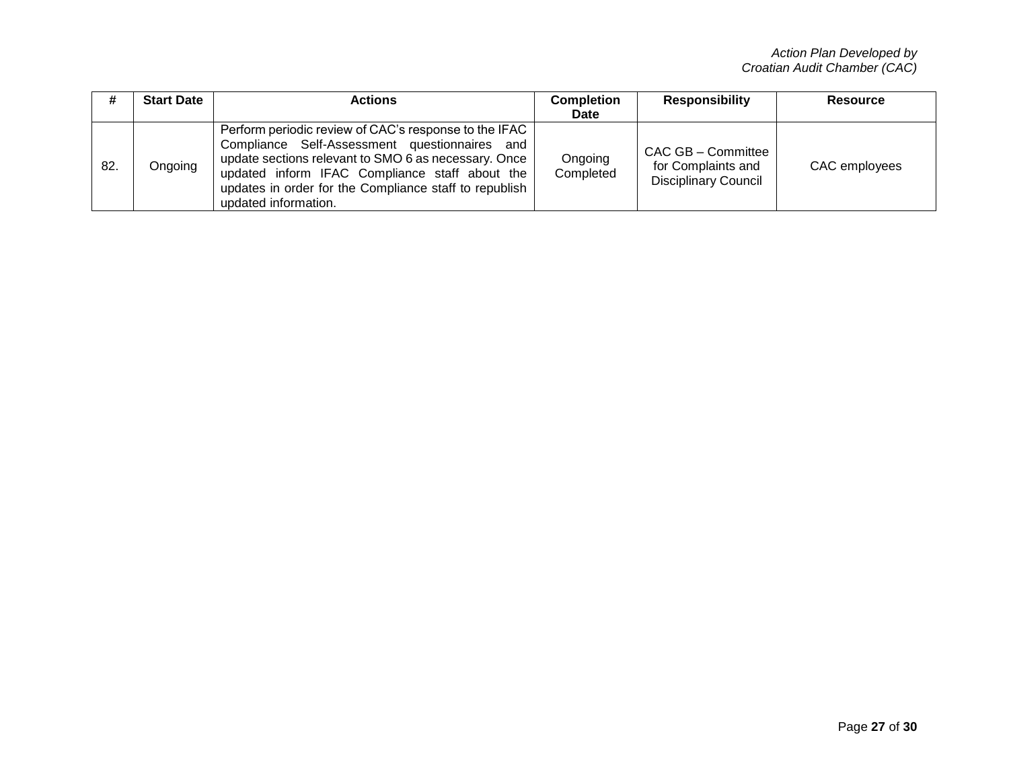|     | <b>Start Date</b> | Actions                                                                                                                                                                                                                                                                                            | <b>Completion</b>    | <b>Responsibility</b>                                                   | Resource      |
|-----|-------------------|----------------------------------------------------------------------------------------------------------------------------------------------------------------------------------------------------------------------------------------------------------------------------------------------------|----------------------|-------------------------------------------------------------------------|---------------|
|     |                   |                                                                                                                                                                                                                                                                                                    | <b>Date</b>          |                                                                         |               |
| 82. | Ongoing           | Perform periodic review of CAC's response to the IFAC<br>Compliance Self-Assessment questionnaires and<br>update sections relevant to SMO 6 as necessary. Once<br>updated inform IFAC Compliance staff about the<br>updates in order for the Compliance staff to republish<br>updated information. | Ongoing<br>Completed | CAC GB - Committee<br>for Complaints and<br><b>Disciplinary Council</b> | CAC employees |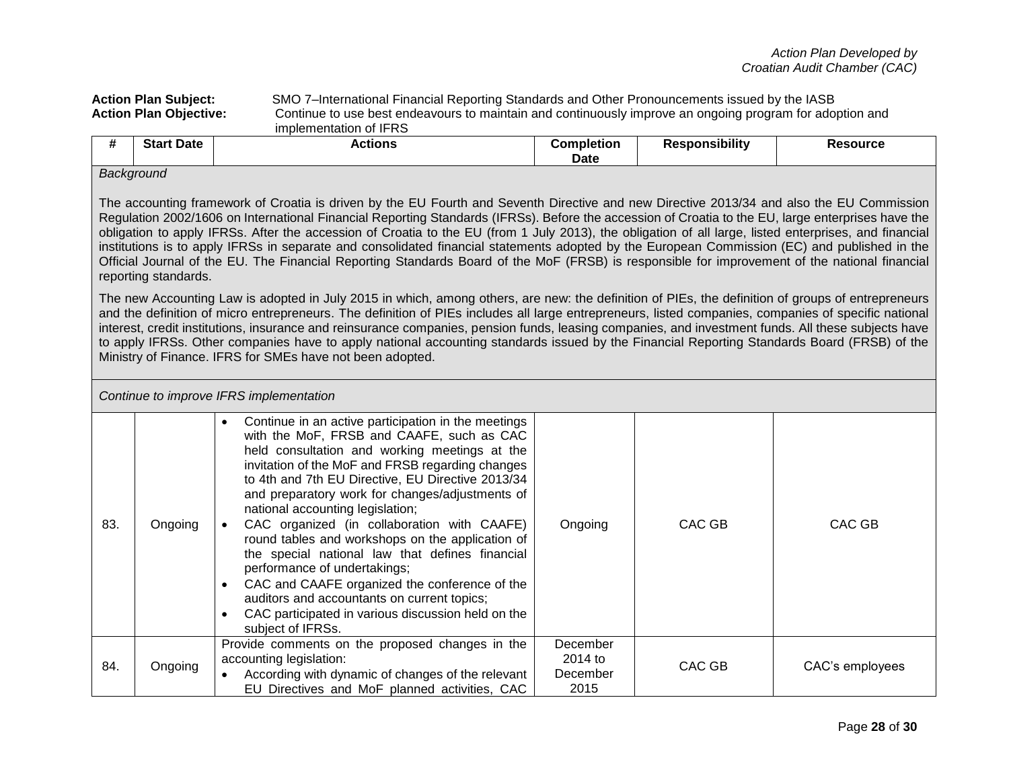**Action Plan Subject:** SMO 7–International Financial Reporting Standards and Other Pronouncements issued by the IASB **Action Plan Objective:** Continue to use best endeavours to maintain and continuously improve an ongoing program for adoption and implementation of IFRS

| #                                 | <b>Start Date</b>                                             | Actions | <b>Completion</b><br><b>Date</b> | <b>Responsibility</b>                                                                                          | <b>Resource</b> |
|-----------------------------------|---------------------------------------------------------------|---------|----------------------------------|----------------------------------------------------------------------------------------------------------------|-----------------|
| and the company of the company of | Background<br>the contract of the contract of the contract of |         |                                  | - Contract Andreas Andreas Andreas Andreas Andreas Andreas Andreas Andreas Andreas Andreas Andreas Andreas And |                 |

The accounting framework of Croatia is driven by the EU Fourth and Seventh Directive and new Directive 2013/34 and also the EU Commission Regulation 2002/1606 on International Financial Reporting Standards (IFRSs). Before the accession of Croatia to the EU, large enterprises have the obligation to apply IFRSs. After the accession of Croatia to the EU (from 1 July 2013), the obligation of all large, listed enterprises, and financial institutions is to apply IFRSs in separate and consolidated financial statements adopted by the European Commission (EC) and published in the Official Journal of the EU. The Financial Reporting Standards Board of the MoF (FRSB) is responsible for improvement of the national financial reporting standards.

The new Accounting Law is adopted in July 2015 in which, among others, are new: the definition of PIEs, the definition of groups of entrepreneurs and the definition of micro entrepreneurs. The definition of PIEs includes all large entrepreneurs, listed companies, companies of specific national interest, credit institutions, insurance and reinsurance companies, pension funds, leasing companies, and investment funds. All these subjects have to apply IFRSs. Other companies have to apply national accounting standards issued by the Financial Reporting Standards Board (FRSB) of the Ministry of Finance. IFRS for SMEs have not been adopted.

|     |         | Continue to improve IFRS implementation                                                                                                                                                                                                                                                                                                                                                                                                                                                                                                                                                                                                                                                                            |                                         |        |                 |
|-----|---------|--------------------------------------------------------------------------------------------------------------------------------------------------------------------------------------------------------------------------------------------------------------------------------------------------------------------------------------------------------------------------------------------------------------------------------------------------------------------------------------------------------------------------------------------------------------------------------------------------------------------------------------------------------------------------------------------------------------------|-----------------------------------------|--------|-----------------|
| 83. | Ongoing | Continue in an active participation in the meetings<br>with the MoF, FRSB and CAAFE, such as CAC<br>held consultation and working meetings at the<br>invitation of the MoF and FRSB regarding changes<br>to 4th and 7th EU Directive, EU Directive 2013/34<br>and preparatory work for changes/adjustments of<br>national accounting legislation;<br>CAC organized (in collaboration with CAAFE)<br>round tables and workshops on the application of<br>the special national law that defines financial<br>performance of undertakings;<br>CAC and CAAFE organized the conference of the<br>auditors and accountants on current topics;<br>CAC participated in various discussion held on the<br>subject of IFRSs. | Ongoing                                 | CAC GB | CAC GB          |
| 84. | Ongoing | Provide comments on the proposed changes in the<br>accounting legislation:<br>According with dynamic of changes of the relevant<br>EU Directives and MoF planned activities, CAC                                                                                                                                                                                                                                                                                                                                                                                                                                                                                                                                   | December<br>2014 to<br>December<br>2015 | CAC GB | CAC's employees |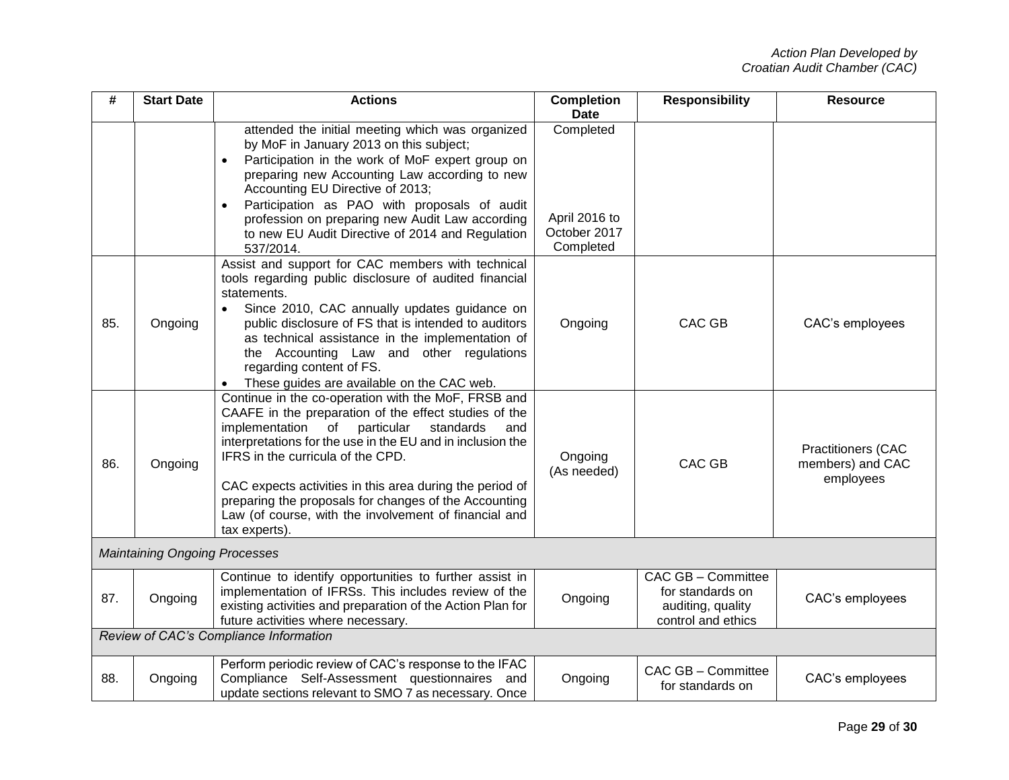| #   | <b>Start Date</b>                      | <b>Actions</b>                                                                                                                                                                                                                                                                                                                                                                                                                                                           | <b>Completion</b><br><b>Date</b>                        | <b>Responsibility</b>                                                             | <b>Resource</b>                                            |  |
|-----|----------------------------------------|--------------------------------------------------------------------------------------------------------------------------------------------------------------------------------------------------------------------------------------------------------------------------------------------------------------------------------------------------------------------------------------------------------------------------------------------------------------------------|---------------------------------------------------------|-----------------------------------------------------------------------------------|------------------------------------------------------------|--|
|     |                                        | attended the initial meeting which was organized<br>by MoF in January 2013 on this subject;<br>Participation in the work of MoF expert group on<br>$\bullet$<br>preparing new Accounting Law according to new<br>Accounting EU Directive of 2013;<br>Participation as PAO with proposals of audit<br>$\bullet$<br>profession on preparing new Audit Law according<br>to new EU Audit Directive of 2014 and Regulation<br>537/2014.                                       | Completed<br>April 2016 to<br>October 2017<br>Completed |                                                                                   |                                                            |  |
| 85. | Ongoing                                | Assist and support for CAC members with technical<br>tools regarding public disclosure of audited financial<br>statements.<br>Since 2010, CAC annually updates guidance on<br>$\bullet$<br>public disclosure of FS that is intended to auditors<br>as technical assistance in the implementation of<br>the Accounting Law and other regulations<br>regarding content of FS.<br>These guides are available on the CAC web.                                                | Ongoing                                                 | <b>CAC GB</b>                                                                     | CAC's employees                                            |  |
| 86. | Ongoing                                | Continue in the co-operation with the MoF, FRSB and<br>CAAFE in the preparation of the effect studies of the<br>implementation<br>of<br>particular<br>standards<br>and<br>interpretations for the use in the EU and in inclusion the<br>IFRS in the curricula of the CPD.<br>CAC expects activities in this area during the period of<br>preparing the proposals for changes of the Accounting<br>Law (of course, with the involvement of financial and<br>tax experts). | Ongoing<br>(As needed)                                  | CAC GB                                                                            | <b>Practitioners (CAC</b><br>members) and CAC<br>employees |  |
|     | <b>Maintaining Ongoing Processes</b>   |                                                                                                                                                                                                                                                                                                                                                                                                                                                                          |                                                         |                                                                                   |                                                            |  |
| 87. | Ongoing                                | Continue to identify opportunities to further assist in<br>implementation of IFRSs. This includes review of the<br>existing activities and preparation of the Action Plan for<br>future activities where necessary.                                                                                                                                                                                                                                                      | Ongoing                                                 | CAC GB - Committee<br>for standards on<br>auditing, quality<br>control and ethics | CAC's employees                                            |  |
|     | Review of CAC's Compliance Information |                                                                                                                                                                                                                                                                                                                                                                                                                                                                          |                                                         |                                                                                   |                                                            |  |
| 88. | Ongoing                                | Perform periodic review of CAC's response to the IFAC<br>Compliance Self-Assessment questionnaires and<br>update sections relevant to SMO 7 as necessary. Once                                                                                                                                                                                                                                                                                                           | Ongoing                                                 | CAC GB - Committee<br>for standards on                                            | CAC's employees                                            |  |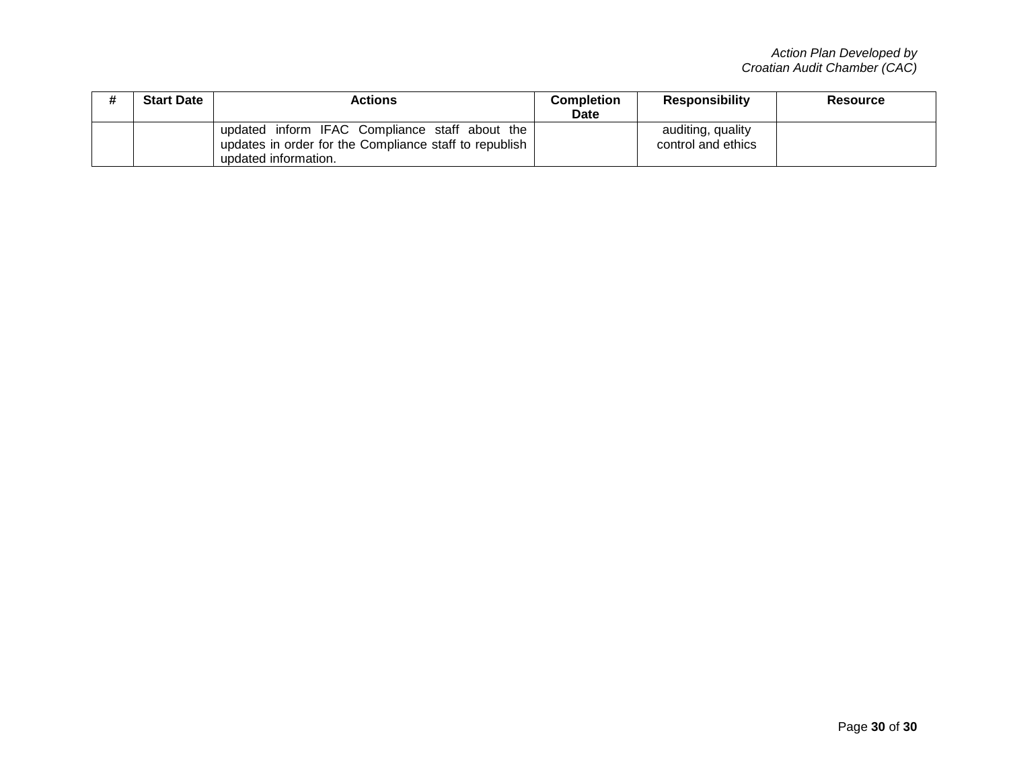| <b>Start Date</b> | Actions                                                                                                                          | <b>Completion</b><br>Date | <b>Responsibility</b>                   | <b>Resource</b> |
|-------------------|----------------------------------------------------------------------------------------------------------------------------------|---------------------------|-----------------------------------------|-----------------|
|                   | updated inform IFAC Compliance staff about the<br>updates in order for the Compliance staff to republish<br>updated information. |                           | auditing, quality<br>control and ethics |                 |